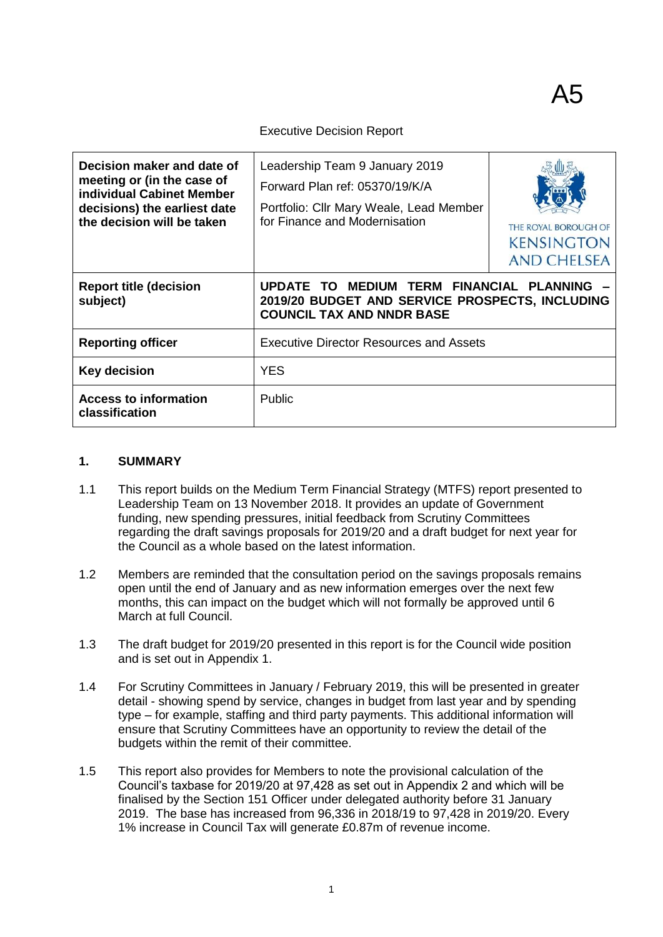#### Executive Decision Report

| Decision maker and date of<br>meeting or (in the case of<br>individual Cabinet Member<br>decisions) the earliest date<br>the decision will be taken | Leadership Team 9 January 2019<br>Forward Plan ref: 05370/19/K/A<br>Portfolio: Cllr Mary Weale, Lead Member<br>for Finance and Modernisation | THE ROYAL BOROUGH OF<br><b>KENSINGTON</b><br><b>AND CHELSEA</b> |
|-----------------------------------------------------------------------------------------------------------------------------------------------------|----------------------------------------------------------------------------------------------------------------------------------------------|-----------------------------------------------------------------|
| <b>Report title (decision</b><br>subject)                                                                                                           | MEDIUM TERM FINANCIAL PLANNING<br>UPDATE TO<br>2019/20 BUDGET AND SERVICE PROSPECTS, INCLUDING<br><b>COUNCIL TAX AND NNDR BASE</b>           |                                                                 |
| <b>Reporting officer</b>                                                                                                                            | <b>Executive Director Resources and Assets</b>                                                                                               |                                                                 |
| <b>Key decision</b>                                                                                                                                 | <b>YES</b>                                                                                                                                   |                                                                 |
| <b>Access to information</b><br>classification                                                                                                      | <b>Public</b>                                                                                                                                |                                                                 |

#### **1. SUMMARY**

- 1.1 This report builds on the Medium Term Financial Strategy (MTFS) report presented to Leadership Team on 13 November 2018. It provides an update of Government funding, new spending pressures, initial feedback from Scrutiny Committees regarding the draft savings proposals for 2019/20 and a draft budget for next year for the Council as a whole based on the latest information.
- 1.2 Members are reminded that the consultation period on the savings proposals remains open until the end of January and as new information emerges over the next few months, this can impact on the budget which will not formally be approved until 6 March at full Council.
- 1.3 The draft budget for 2019/20 presented in this report is for the Council wide position and is set out in Appendix 1.
- 1.4 For Scrutiny Committees in January / February 2019, this will be presented in greater detail - showing spend by service, changes in budget from last year and by spending type – for example, staffing and third party payments. This additional information will ensure that Scrutiny Committees have an opportunity to review the detail of the budgets within the remit of their committee.
- 1.5 This report also provides for Members to note the provisional calculation of the Council's taxbase for 2019/20 at 97,428 as set out in Appendix 2 and which will be finalised by the Section 151 Officer under delegated authority before 31 January 2019. The base has increased from 96,336 in 2018/19 to 97,428 in 2019/20. Every 1% increase in Council Tax will generate £0.87m of revenue income.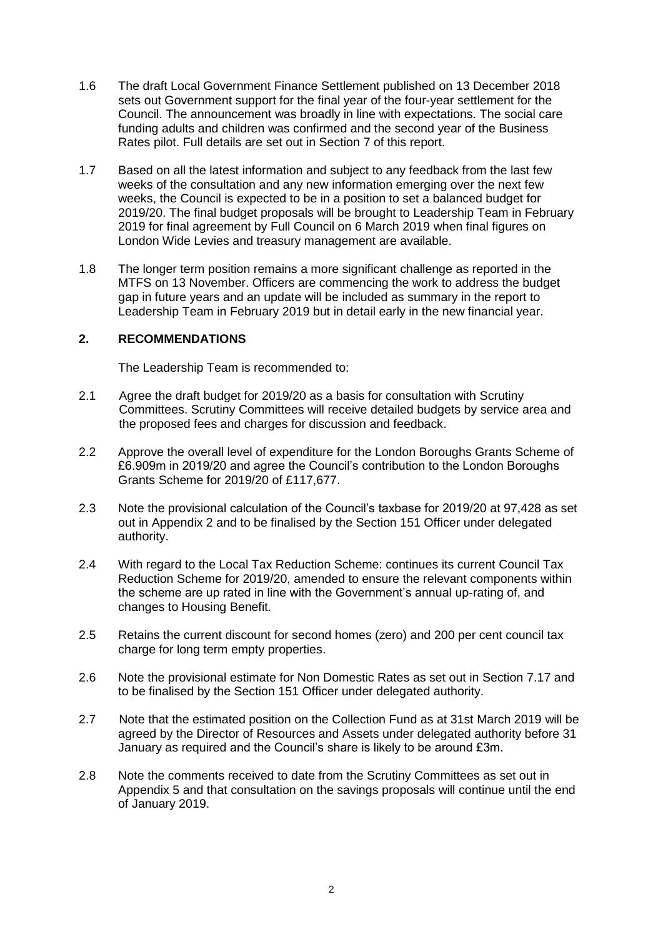- 1.6 The draft Local Government Finance Settlement published on 13 December 2018 sets out Government support for the final year of the four-year settlement for the Council. The announcement was broadly in line with expectations. The social care funding adults and children was confirmed and the second year of the Business Rates pilot. Full details are set out in Section 7 of this report.
- 1.7 Based on all the latest information and subject to any feedback from the last few weeks of the consultation and any new information emerging over the next few weeks, the Council is expected to be in a position to set a balanced budget for 2019/20. The final budget proposals will be brought to Leadership Team in February 2019 for final agreement by Full Council on 6 March 2019 when final figures on London Wide Levies and treasury management are available.
- 1.8 The longer term position remains a more significant challenge as reported in the MTFS on 13 November. Officers are commencing the work to address the budget gap in future years and an update will be included as summary in the report to Leadership Team in February 2019 but in detail early in the new financial year.

### **2. RECOMMENDATIONS**

The Leadership Team is recommended to:

- 2.1 Agree the draft budget for 2019/20 as a basis for consultation with Scrutiny Committees. Scrutiny Committees will receive detailed budgets by service area and the proposed fees and charges for discussion and feedback.
- 2.2 Approve the overall level of expenditure for the London Boroughs Grants Scheme of £6.909m in 2019/20 and agree the Council's contribution to the London Boroughs Grants Scheme for 2019/20 of £117,677.
- 2.3 Note the provisional calculation of the Council's taxbase for 2019/20 at 97,428 as set out in Appendix 2 and to be finalised by the Section 151 Officer under delegated authority.
- 2.4 With regard to the Local Tax Reduction Scheme: continues its current Council Tax Reduction Scheme for 2019/20, amended to ensure the relevant components within the scheme are up rated in line with the Government's annual up-rating of, and changes to Housing Benefit.
- 2.5 Retains the current discount for second homes (zero) and 200 per cent council tax charge for long term empty properties.
- 2.6 Note the provisional estimate for Non Domestic Rates as set out in Section 7.17 and to be finalised by the Section 151 Officer under delegated authority.
- 2.7 Note that the estimated position on the Collection Fund as at 31st March 2019 will be agreed by the Director of Resources and Assets under delegated authority before 31 January as required and the Council's share is likely to be around £3m.
- 2.8 Note the comments received to date from the Scrutiny Committees as set out in Appendix 5 and that consultation on the savings proposals will continue until the end of January 2019.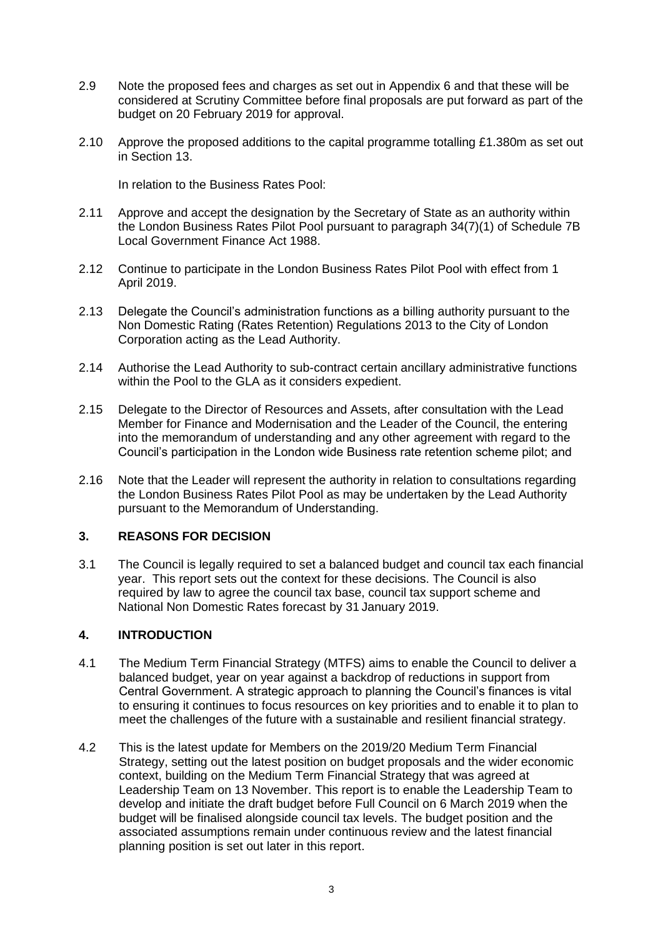- 2.9 Note the proposed fees and charges as set out in Appendix 6 and that these will be considered at Scrutiny Committee before final proposals are put forward as part of the budget on 20 February 2019 for approval.
- 2.10 Approve the proposed additions to the capital programme totalling £1.380m as set out in Section 13.

In relation to the Business Rates Pool:

- 2.11 Approve and accept the designation by the Secretary of State as an authority within the London Business Rates Pilot Pool pursuant to paragraph 34(7)(1) of Schedule 7B Local Government Finance Act 1988.
- 2.12 Continue to participate in the London Business Rates Pilot Pool with effect from 1 April 2019.
- 2.13 Delegate the Council's administration functions as a billing authority pursuant to the Non Domestic Rating (Rates Retention) Regulations 2013 to the City of London Corporation acting as the Lead Authority.
- 2.14 Authorise the Lead Authority to sub-contract certain ancillary administrative functions within the Pool to the GLA as it considers expedient.
- 2.15 Delegate to the Director of Resources and Assets, after consultation with the Lead Member for Finance and Modernisation and the Leader of the Council, the entering into the memorandum of understanding and any other agreement with regard to the Council's participation in the London wide Business rate retention scheme pilot; and
- 2.16 Note that the Leader will represent the authority in relation to consultations regarding the London Business Rates Pilot Pool as may be undertaken by the Lead Authority pursuant to the Memorandum of Understanding.

### **3. REASONS FOR DECISION**

3.1 The Council is legally required to set a balanced budget and council tax each financial year. This report sets out the context for these decisions. The Council is also required by law to agree the council tax base, council tax support scheme and National Non Domestic Rates forecast by 31 January 2019.

### **4. INTRODUCTION**

- 4.1 The Medium Term Financial Strategy (MTFS) aims to enable the Council to deliver a balanced budget, year on year against a backdrop of reductions in support from Central Government. A strategic approach to planning the Council's finances is vital to ensuring it continues to focus resources on key priorities and to enable it to plan to meet the challenges of the future with a sustainable and resilient financial strategy.
- 4.2 This is the latest update for Members on the 2019/20 Medium Term Financial Strategy, setting out the latest position on budget proposals and the wider economic context, building on the Medium Term Financial Strategy that was agreed at Leadership Team on 13 November. This report is to enable the Leadership Team to develop and initiate the draft budget before Full Council on 6 March 2019 when the budget will be finalised alongside council tax levels. The budget position and the associated assumptions remain under continuous review and the latest financial planning position is set out later in this report.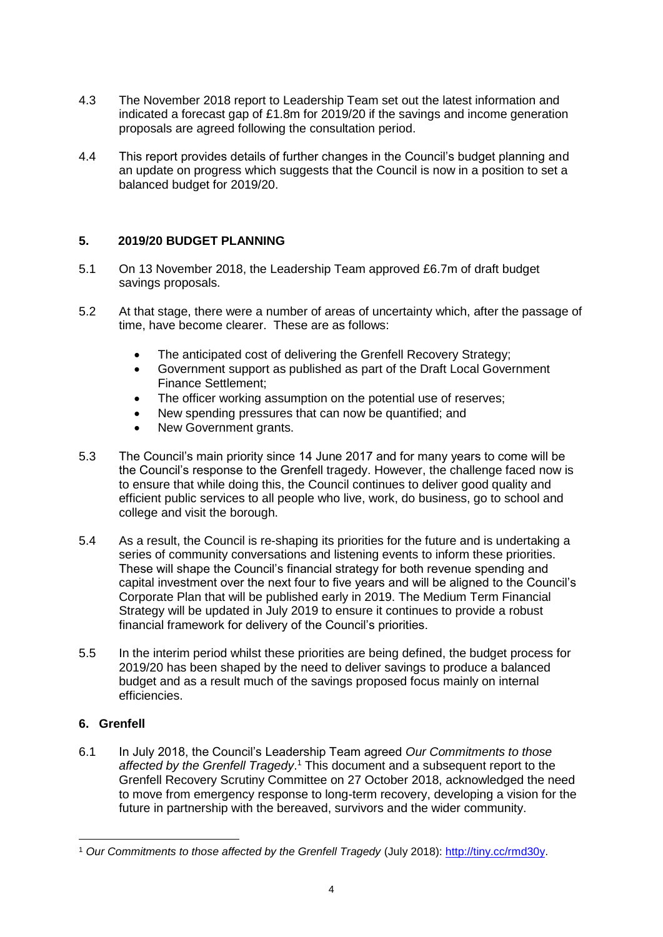- 4.3 The November 2018 report to Leadership Team set out the latest information and indicated a forecast gap of £1.8m for 2019/20 if the savings and income generation proposals are agreed following the consultation period.
- 4.4 This report provides details of further changes in the Council's budget planning and an update on progress which suggests that the Council is now in a position to set a balanced budget for 2019/20.

# **5. 2019/20 BUDGET PLANNING**

- 5.1 On 13 November 2018, the Leadership Team approved £6.7m of draft budget savings proposals.
- 5.2 At that stage, there were a number of areas of uncertainty which, after the passage of time, have become clearer. These are as follows:
	- The anticipated cost of delivering the Grenfell Recovery Strategy;
	- Government support as published as part of the Draft Local Government Finance Settlement;
	- The officer working assumption on the potential use of reserves:
	- New spending pressures that can now be quantified; and
	- New Government grants.
- 5.3 The Council's main priority since 14 June 2017 and for many years to come will be the Council's response to the Grenfell tragedy. However, the challenge faced now is to ensure that while doing this, the Council continues to deliver good quality and efficient public services to all people who live, work, do business, go to school and college and visit the borough.
- 5.4 As a result, the Council is re-shaping its priorities for the future and is undertaking a series of community conversations and listening events to inform these priorities. These will shape the Council's financial strategy for both revenue spending and capital investment over the next four to five years and will be aligned to the Council's Corporate Plan that will be published early in 2019. The Medium Term Financial Strategy will be updated in July 2019 to ensure it continues to provide a robust financial framework for delivery of the Council's priorities.
- 5.5 In the interim period whilst these priorities are being defined, the budget process for 2019/20 has been shaped by the need to deliver savings to produce a balanced budget and as a result much of the savings proposed focus mainly on internal efficiencies.

# **6. Grenfell**

6.1 In July 2018, the Council's Leadership Team agreed *Our Commitments to those affected by the Grenfell Tragedy*. <sup>1</sup> This document and a subsequent report to the Grenfell Recovery Scrutiny Committee on 27 October 2018, acknowledged the need to move from emergency response to long-term recovery, developing a vision for the future in partnership with the bereaved, survivors and the wider community.

<sup>1</sup> <sup>1</sup> *Our Commitments to those affected by the Grenfell Tragedy* (July 2018): [http://tiny.cc/rmd30y.](http://tiny.cc/rmd30y)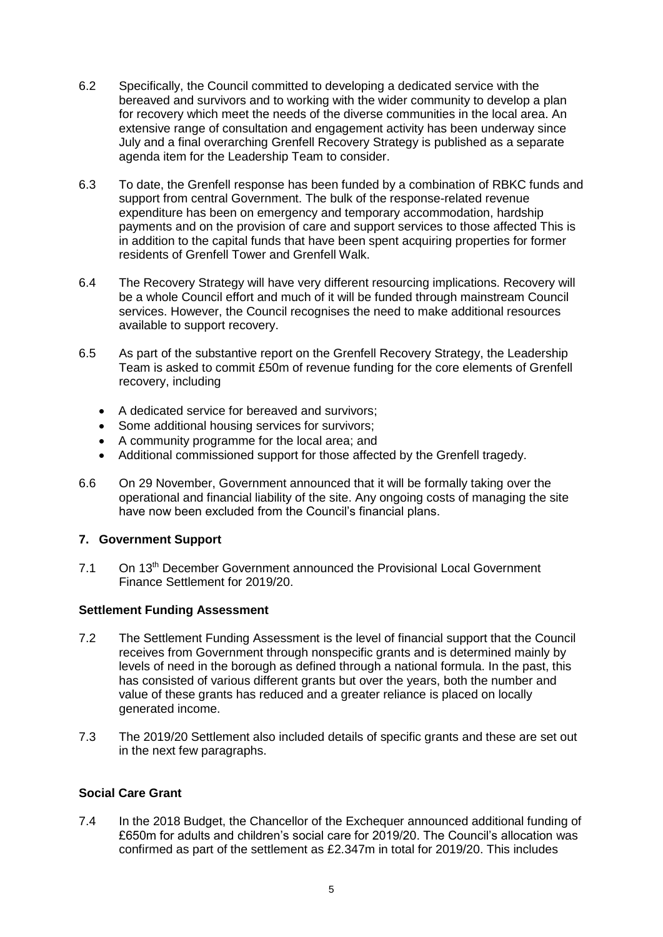- 6.2 Specifically, the Council committed to developing a dedicated service with the bereaved and survivors and to working with the wider community to develop a plan for recovery which meet the needs of the diverse communities in the local area. An extensive range of consultation and engagement activity has been underway since July and a final overarching Grenfell Recovery Strategy is published as a separate agenda item for the Leadership Team to consider.
- 6.3 To date, the Grenfell response has been funded by a combination of RBKC funds and support from central Government. The bulk of the response-related revenue expenditure has been on emergency and temporary accommodation, hardship payments and on the provision of care and support services to those affected This is in addition to the capital funds that have been spent acquiring properties for former residents of Grenfell Tower and Grenfell Walk.
- 6.4 The Recovery Strategy will have very different resourcing implications. Recovery will be a whole Council effort and much of it will be funded through mainstream Council services. However, the Council recognises the need to make additional resources available to support recovery.
- 6.5 As part of the substantive report on the Grenfell Recovery Strategy, the Leadership Team is asked to commit £50m of revenue funding for the core elements of Grenfell recovery, including
	- A dedicated service for bereaved and survivors;
	- Some additional housing services for survivors;
	- A community programme for the local area; and
	- Additional commissioned support for those affected by the Grenfell tragedy.
- 6.6 On 29 November, Government announced that it will be formally taking over the operational and financial liability of the site. Any ongoing costs of managing the site have now been excluded from the Council's financial plans.

### **7. Government Support**

7.1 On 13<sup>th</sup> December Government announced the Provisional Local Government Finance Settlement for 2019/20.

### **Settlement Funding Assessment**

- 7.2 The Settlement Funding Assessment is the level of financial support that the Council receives from Government through nonspecific grants and is determined mainly by levels of need in the borough as defined through a national formula. In the past, this has consisted of various different grants but over the years, both the number and value of these grants has reduced and a greater reliance is placed on locally generated income.
- 7.3 The 2019/20 Settlement also included details of specific grants and these are set out in the next few paragraphs.

### **Social Care Grant**

7.4 In the 2018 Budget, the Chancellor of the Exchequer announced additional funding of £650m for adults and children's social care for 2019/20. The Council's allocation was confirmed as part of the settlement as £2.347m in total for 2019/20. This includes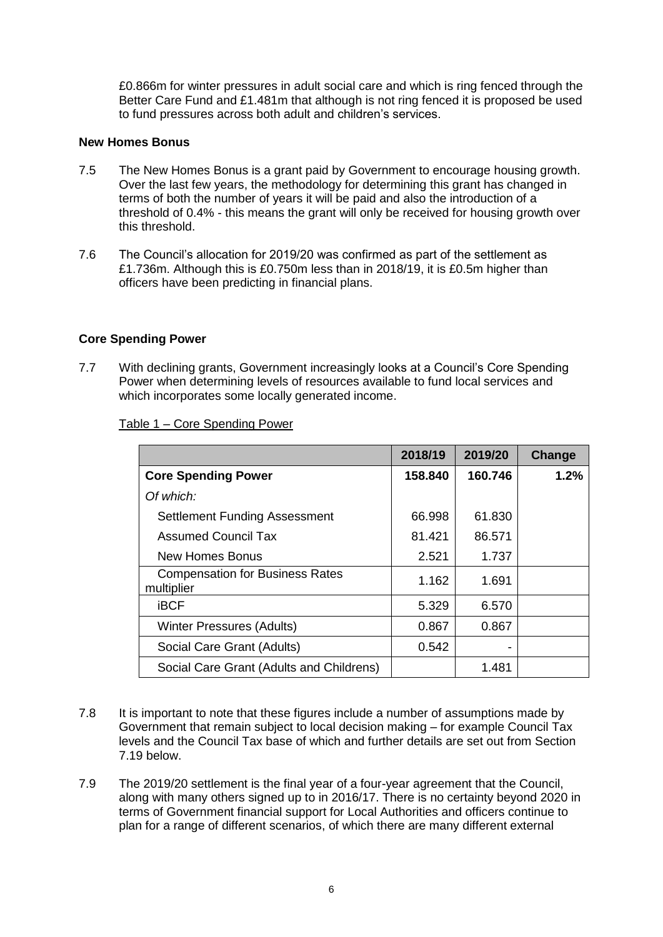£0.866m for winter pressures in adult social care and which is ring fenced through the Better Care Fund and £1.481m that although is not ring fenced it is proposed be used to fund pressures across both adult and children's services.

### **New Homes Bonus**

- 7.5 The New Homes Bonus is a grant paid by Government to encourage housing growth. Over the last few years, the methodology for determining this grant has changed in terms of both the number of years it will be paid and also the introduction of a threshold of 0.4% - this means the grant will only be received for housing growth over this threshold.
- 7.6 The Council's allocation for 2019/20 was confirmed as part of the settlement as £1.736m. Although this is £0.750m less than in 2018/19, it is £0.5m higher than officers have been predicting in financial plans.

### **Core Spending Power**

7.7 With declining grants, Government increasingly looks at a Council's Core Spending Power when determining levels of resources available to fund local services and which incorporates some locally generated income.

| Table 1 – Core Spending Power |  |
|-------------------------------|--|
|                               |  |

|                                                      | 2018/19 | 2019/20 | Change |
|------------------------------------------------------|---------|---------|--------|
| <b>Core Spending Power</b>                           | 158.840 | 160.746 | 1.2%   |
| Of which:                                            |         |         |        |
| <b>Settlement Funding Assessment</b>                 | 66.998  | 61.830  |        |
| <b>Assumed Council Tax</b>                           | 81.421  | 86.571  |        |
| New Homes Bonus                                      | 2.521   | 1.737   |        |
| <b>Compensation for Business Rates</b><br>multiplier | 1.162   | 1.691   |        |
| <b>iBCF</b>                                          | 5.329   | 6.570   |        |
| Winter Pressures (Adults)                            | 0.867   | 0.867   |        |
| Social Care Grant (Adults)                           | 0.542   |         |        |
| Social Care Grant (Adults and Childrens)             |         | 1.481   |        |

- 7.8 It is important to note that these figures include a number of assumptions made by Government that remain subject to local decision making – for example Council Tax levels and the Council Tax base of which and further details are set out from Section 7.19 below.
- 7.9 The 2019/20 settlement is the final year of a four-year agreement that the Council, along with many others signed up to in 2016/17. There is no certainty beyond 2020 in terms of Government financial support for Local Authorities and officers continue to plan for a range of different scenarios, of which there are many different external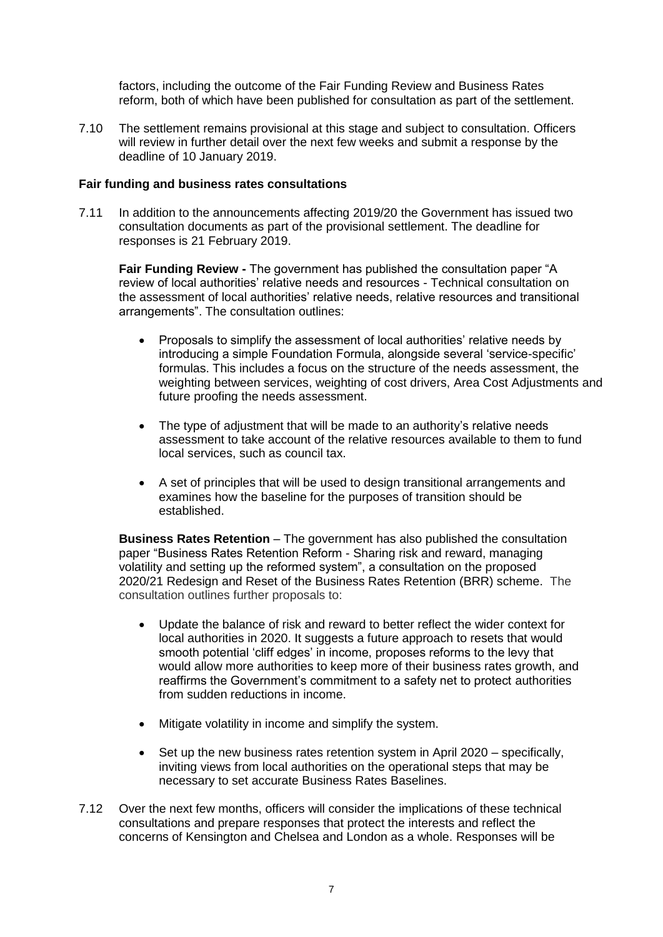factors, including the outcome of the Fair Funding Review and Business Rates reform, both of which have been published for consultation as part of the settlement.

7.10 The settlement remains provisional at this stage and subject to consultation. Officers will review in further detail over the next few weeks and submit a response by the deadline of 10 January 2019.

#### **Fair funding and business rates consultations**

7.11 In addition to the announcements affecting 2019/20 the Government has issued two consultation documents as part of the provisional settlement. The deadline for responses is 21 February 2019.

**Fair Funding Review -** The government has published the consultation paper "A review of local authorities' relative needs and resources - Technical consultation on the assessment of local authorities' relative needs, relative resources and transitional arrangements". The consultation outlines:

- Proposals to simplify the assessment of local authorities' relative needs by introducing a simple Foundation Formula, alongside several 'service-specific' formulas. This includes a focus on the structure of the needs assessment, the weighting between services, weighting of cost drivers, Area Cost Adjustments and future proofing the needs assessment.
- The type of adjustment that will be made to an authority's relative needs assessment to take account of the relative resources available to them to fund local services, such as council tax.
- A set of principles that will be used to design transitional arrangements and examines how the baseline for the purposes of transition should be established.

**Business Rates Retention** – The government has also published the consultation paper "Business Rates Retention Reform - Sharing risk and reward, managing volatility and setting up the reformed system", a consultation on the proposed 2020/21 Redesign and Reset of the Business Rates Retention (BRR) scheme. The consultation outlines further proposals to:

- Update the balance of risk and reward to better reflect the wider context for local authorities in 2020. It suggests a future approach to resets that would smooth potential 'cliff edges' in income, proposes reforms to the levy that would allow more authorities to keep more of their business rates growth, and reaffirms the Government's commitment to a safety net to protect authorities from sudden reductions in income.
- Mitigate volatility in income and simplify the system.
- Set up the new business rates retention system in April 2020 specifically, inviting views from local authorities on the operational steps that may be necessary to set accurate Business Rates Baselines.
- 7.12 Over the next few months, officers will consider the implications of these technical consultations and prepare responses that protect the interests and reflect the concerns of Kensington and Chelsea and London as a whole. Responses will be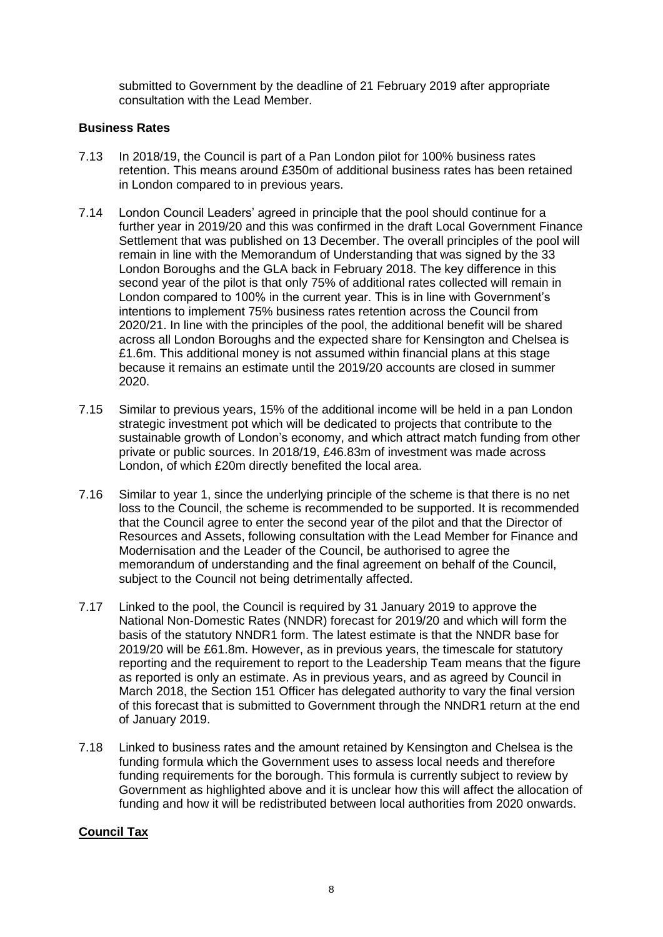submitted to Government by the deadline of 21 February 2019 after appropriate consultation with the Lead Member.

#### **Business Rates**

- 7.13 In 2018/19, the Council is part of a Pan London pilot for 100% business rates retention. This means around £350m of additional business rates has been retained in London compared to in previous years.
- 7.14 London Council Leaders' agreed in principle that the pool should continue for a further year in 2019/20 and this was confirmed in the draft Local Government Finance Settlement that was published on 13 December. The overall principles of the pool will remain in line with the Memorandum of Understanding that was signed by the 33 London Boroughs and the GLA back in February 2018. The key difference in this second year of the pilot is that only 75% of additional rates collected will remain in London compared to 100% in the current year. This is in line with Government's intentions to implement 75% business rates retention across the Council from 2020/21. In line with the principles of the pool, the additional benefit will be shared across all London Boroughs and the expected share for Kensington and Chelsea is £1.6m. This additional money is not assumed within financial plans at this stage because it remains an estimate until the 2019/20 accounts are closed in summer 2020.
- 7.15 Similar to previous years, 15% of the additional income will be held in a pan London strategic investment pot which will be dedicated to projects that contribute to the sustainable growth of London's economy, and which attract match funding from other private or public sources. In 2018/19, £46.83m of investment was made across London, of which £20m directly benefited the local area.
- 7.16 Similar to year 1, since the underlying principle of the scheme is that there is no net loss to the Council, the scheme is recommended to be supported. It is recommended that the Council agree to enter the second year of the pilot and that the Director of Resources and Assets, following consultation with the Lead Member for Finance and Modernisation and the Leader of the Council, be authorised to agree the memorandum of understanding and the final agreement on behalf of the Council, subject to the Council not being detrimentally affected.
- 7.17 Linked to the pool, the Council is required by 31 January 2019 to approve the National Non-Domestic Rates (NNDR) forecast for 2019/20 and which will form the basis of the statutory NNDR1 form. The latest estimate is that the NNDR base for 2019/20 will be £61.8m. However, as in previous years, the timescale for statutory reporting and the requirement to report to the Leadership Team means that the figure as reported is only an estimate. As in previous years, and as agreed by Council in March 2018, the Section 151 Officer has delegated authority to vary the final version of this forecast that is submitted to Government through the NNDR1 return at the end of January 2019.
- 7.18 Linked to business rates and the amount retained by Kensington and Chelsea is the funding formula which the Government uses to assess local needs and therefore funding requirements for the borough. This formula is currently subject to review by Government as highlighted above and it is unclear how this will affect the allocation of funding and how it will be redistributed between local authorities from 2020 onwards.

### **Council Tax**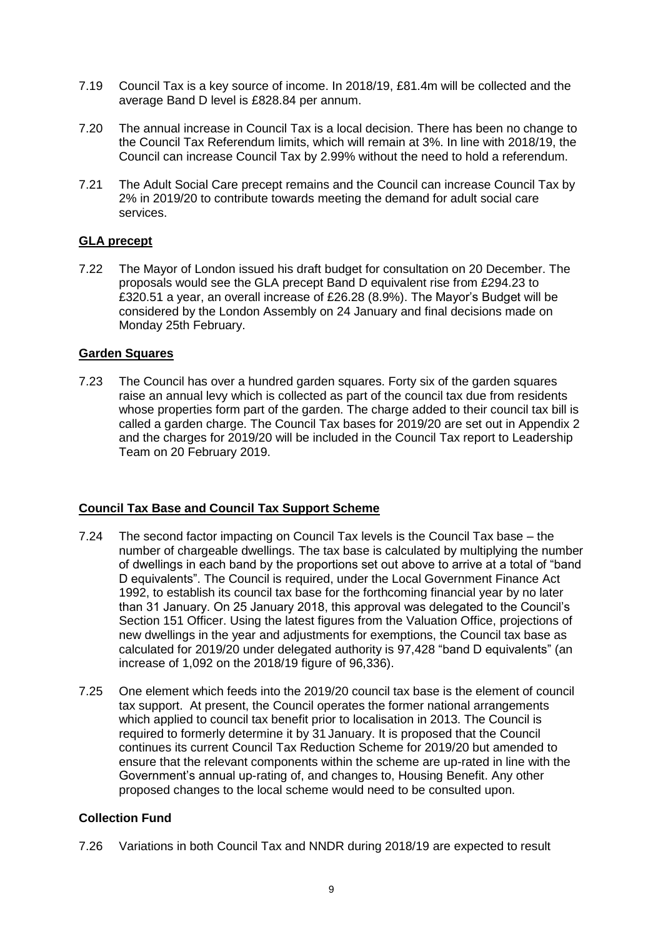- 7.19 Council Tax is a key source of income. In 2018/19, £81.4m will be collected and the average Band D level is £828.84 per annum.
- 7.20 The annual increase in Council Tax is a local decision. There has been no change to the Council Tax Referendum limits, which will remain at 3%. In line with 2018/19, the Council can increase Council Tax by 2.99% without the need to hold a referendum.
- 7.21 The Adult Social Care precept remains and the Council can increase Council Tax by 2% in 2019/20 to contribute towards meeting the demand for adult social care services.

# **GLA precept**

7.22 The Mayor of London issued his draft budget for consultation on 20 December. The proposals would see the GLA precept Band D equivalent rise from £294.23 to £320.51 a year, an overall increase of £26.28 (8.9%). The Mayor's Budget will be considered by the London Assembly on 24 January and final decisions made on Monday 25th February.

### **Garden Squares**

7.23 The Council has over a hundred garden squares. Forty six of the garden squares raise an annual levy which is collected as part of the council tax due from residents whose properties form part of the garden. The charge added to their council tax bill is called a garden charge. The Council Tax bases for 2019/20 are set out in Appendix 2 and the charges for 2019/20 will be included in the Council Tax report to Leadership Team on 20 February 2019.

### **Council Tax Base and Council Tax Support Scheme**

- 7.24 The second factor impacting on Council Tax levels is the Council Tax base the number of chargeable dwellings. The tax base is calculated by multiplying the number of dwellings in each band by the proportions set out above to arrive at a total of "band D equivalents". The Council is required, under the Local Government Finance Act 1992, to establish its council tax base for the forthcoming financial year by no later than 31 January. On 25 January 2018, this approval was delegated to the Council's Section 151 Officer. Using the latest figures from the Valuation Office, projections of new dwellings in the year and adjustments for exemptions, the Council tax base as calculated for 2019/20 under delegated authority is 97,428 "band D equivalents" (an increase of 1,092 on the 2018/19 figure of 96,336).
- 7.25 One element which feeds into the 2019/20 council tax base is the element of council tax support. At present, the Council operates the former national arrangements which applied to council tax benefit prior to localisation in 2013. The Council is required to formerly determine it by 31 January. It is proposed that the Council continues its current Council Tax Reduction Scheme for 2019/20 but amended to ensure that the relevant components within the scheme are up-rated in line with the Government's annual up-rating of, and changes to, Housing Benefit. Any other proposed changes to the local scheme would need to be consulted upon.

### **Collection Fund**

7.26 Variations in both Council Tax and NNDR during 2018/19 are expected to result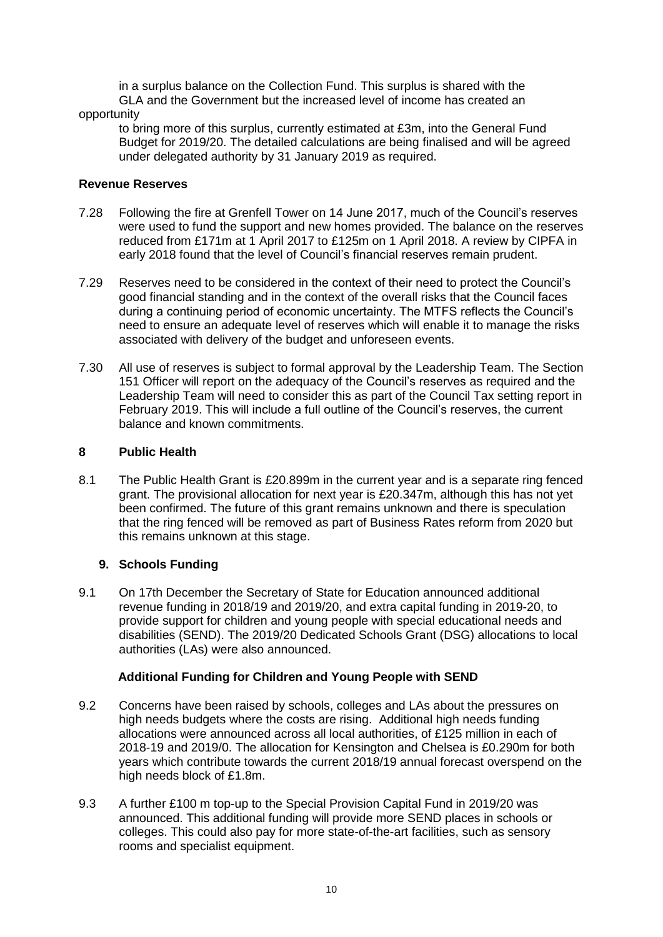in a surplus balance on the Collection Fund. This surplus is shared with the GLA and the Government but the increased level of income has created an opportunity

to bring more of this surplus, currently estimated at £3m, into the General Fund Budget for 2019/20. The detailed calculations are being finalised and will be agreed under delegated authority by 31 January 2019 as required.

# **Revenue Reserves**

- 7.28 Following the fire at Grenfell Tower on 14 June 2017, much of the Council's reserves were used to fund the support and new homes provided. The balance on the reserves reduced from £171m at 1 April 2017 to £125m on 1 April 2018. A review by CIPFA in early 2018 found that the level of Council's financial reserves remain prudent.
- 7.29 Reserves need to be considered in the context of their need to protect the Council's good financial standing and in the context of the overall risks that the Council faces during a continuing period of economic uncertainty. The MTFS reflects the Council's need to ensure an adequate level of reserves which will enable it to manage the risks associated with delivery of the budget and unforeseen events.
- 7.30 All use of reserves is subject to formal approval by the Leadership Team. The Section 151 Officer will report on the adequacy of the Council's reserves as required and the Leadership Team will need to consider this as part of the Council Tax setting report in February 2019. This will include a full outline of the Council's reserves, the current balance and known commitments.

# **8 Public Health**

8.1 The Public Health Grant is £20.899m in the current year and is a separate ring fenced grant. The provisional allocation for next year is £20.347m, although this has not yet been confirmed. The future of this grant remains unknown and there is speculation that the ring fenced will be removed as part of Business Rates reform from 2020 but this remains unknown at this stage.

# **9. Schools Funding**

9.1 On 17th December the Secretary of State for Education announced additional revenue funding in 2018/19 and 2019/20, and extra capital funding in 2019-20, to provide support for children and young people with special educational needs and disabilities (SEND). The 2019/20 Dedicated Schools Grant (DSG) allocations to local authorities (LAs) were also announced.

# **Additional Funding for Children and Young People with SEND**

- 9.2 Concerns have been raised by schools, colleges and LAs about the pressures on high needs budgets where the costs are rising. Additional high needs funding allocations were announced across all local authorities, of £125 million in each of 2018-19 and 2019/0. The allocation for Kensington and Chelsea is £0.290m for both years which contribute towards the current 2018/19 annual forecast overspend on the high needs block of £1.8m.
- 9.3 A further £100 m top-up to the Special Provision Capital Fund in 2019/20 was announced. This additional funding will provide more SEND places in schools or colleges. This could also pay for more state-of-the-art facilities, such as sensory rooms and specialist equipment.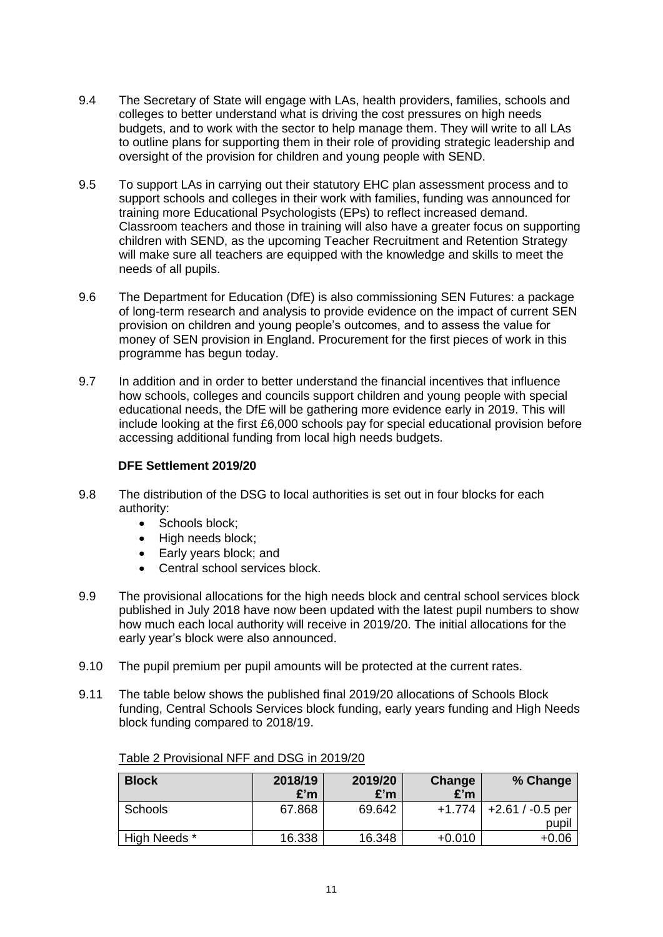- 9.4 The Secretary of State will engage with LAs, health providers, families, schools and colleges to better understand what is driving the cost pressures on high needs budgets, and to work with the sector to help manage them. They will write to all LAs to outline plans for supporting them in their role of providing strategic leadership and oversight of the provision for children and young people with SEND.
- 9.5 To support LAs in carrying out their statutory EHC plan assessment process and to support schools and colleges in their work with families, funding was announced for training more Educational Psychologists (EPs) to reflect increased demand. Classroom teachers and those in training will also have a greater focus on supporting children with SEND, as the upcoming Teacher Recruitment and Retention Strategy will make sure all teachers are equipped with the knowledge and skills to meet the needs of all pupils.
- 9.6 The Department for Education (DfE) is also commissioning SEN Futures: a package of long-term research and analysis to provide evidence on the impact of current SEN provision on children and young people's outcomes, and to assess the value for money of SEN provision in England. Procurement for the first pieces of work in this programme has begun today.
- 9.7 In addition and in order to better understand the financial incentives that influence how schools, colleges and councils support children and young people with special educational needs, the DfE will be gathering more evidence early in 2019. This will include looking at the first £6,000 schools pay for special educational provision before accessing additional funding from local high needs budgets.

# **DFE Settlement 2019/20**

- 9.8 The distribution of the DSG to local authorities is set out in four blocks for each authority:
	- Schools block:
	- High needs block;
	- Early years block; and
	- Central school services block.
- 9.9 The provisional allocations for the high needs block and central school services block published in July 2018 have now been updated with the latest pupil numbers to show how much each local authority will receive in 2019/20. The initial allocations for the early year's block were also announced.
- 9.10 The pupil premium per pupil amounts will be protected at the current rates.
- 9.11 The table below shows the published final 2019/20 allocations of Schools Block funding, Central Schools Services block funding, early years funding and High Needs block funding compared to 2018/19.

| <b>Block</b> | 2018/19<br>£'m | 2019/20<br>£'m | Change<br>£'m | % Change           |
|--------------|----------------|----------------|---------------|--------------------|
| Schools      | 67.868         | 69.642         | $+1.774$      | $+2.61 / -0.5$ per |
|              |                |                |               | pupil              |
| High Needs * | 16.338         | 16.348         | $+0.010$      | $+0.06$            |

Table 2 Provisional NFF and DSG in 2019/20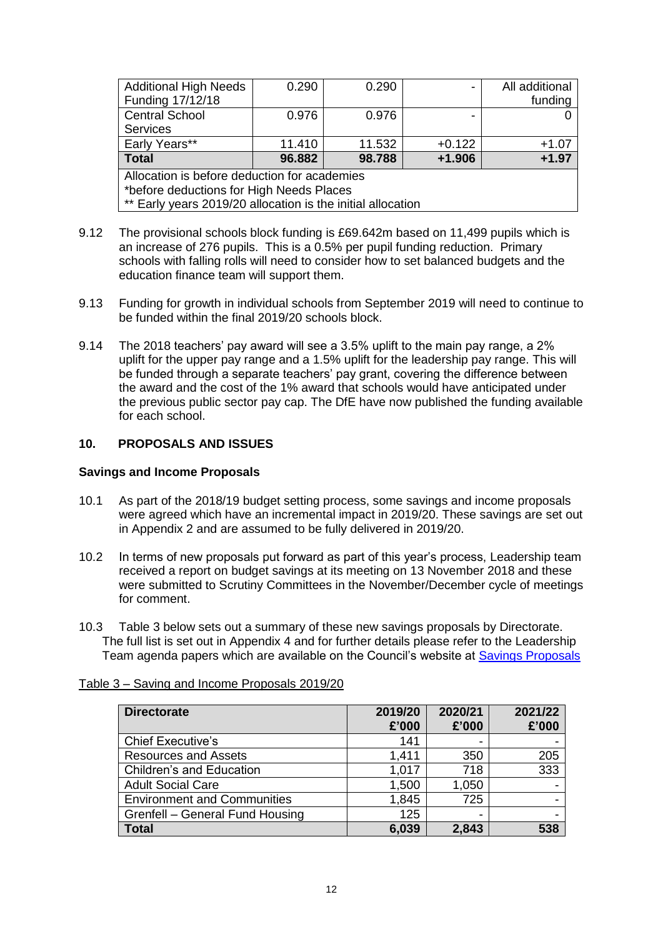| <b>Additional High Needs</b><br>Funding 17/12/18            | 0.290  | 0.290  |          | All additional<br>funding |
|-------------------------------------------------------------|--------|--------|----------|---------------------------|
| <b>Central School</b>                                       | 0.976  | 0.976  |          |                           |
| <b>Services</b>                                             |        |        |          |                           |
| Early Years**                                               | 11.410 | 11.532 | $+0.122$ | $+1.07$                   |
| <b>Total</b>                                                | 96.882 | 98.788 | $+1.906$ | $+1.97$                   |
| Allocation is before deduction for academies                |        |        |          |                           |
| *before deductions for High Needs Places                    |        |        |          |                           |
| ** Early years 2019/20 allocation is the initial allocation |        |        |          |                           |

- 9.12 The provisional schools block funding is £69.642m based on 11,499 pupils which is an increase of 276 pupils. This is a 0.5% per pupil funding reduction. Primary schools with falling rolls will need to consider how to set balanced budgets and the education finance team will support them.
- 9.13 Funding for growth in individual schools from September 2019 will need to continue to be funded within the final 2019/20 schools block.
- 9.14 The 2018 teachers' pay award will see a 3.5% uplift to the main pay range, a 2% uplift for the upper pay range and a 1.5% uplift for the leadership pay range. This will be funded through a separate teachers' pay grant, covering the difference between the award and the cost of the 1% award that schools would have anticipated under the previous public sector pay cap. The DfE have now published the funding available for each school.

### **10. PROPOSALS AND ISSUES**

#### **Savings and Income Proposals**

- 10.1 As part of the 2018/19 budget setting process, some savings and income proposals were agreed which have an incremental impact in 2019/20. These savings are set out in Appendix 2 and are assumed to be fully delivered in 2019/20.
- 10.2 In terms of new proposals put forward as part of this year's process, Leadership team received a report on budget savings at its meeting on 13 November 2018 and these were submitted to Scrutiny Committees in the November/December cycle of meetings for comment.
- 10.3 Table 3 below sets out a summary of these new savings proposals by Directorate. The full list is set out in Appendix 4 and for further details please refer to the Leadership Team agenda papers which are available on the Council's website at [Savings Proposals](https://www.rbkc.gov.uk/committees/Document.ashx?czJKcaeAi5tUFL1DTL2UE4zNRBcoShgo=WBwT5VbD%2bnQJJHLyx7sHg8HYdmRxPDkROe5f1%2b%2fZfp82NOtlXYqRpQ%3d%3d&rUzwRPf%2bZ3zd4E7Ikn8Lyw%3d%3d=pwRE6AGJFLDNlh225F5QMaQWCtPHwdhUfCZ%2fLUQzgA2uL5jNRG4jdQ%3d%3d&mCTIbCubSFfXsDGW9IXnlg%3d%3d=hFflUdN3100%3d&kCx1AnS9%2fpWZQ40DXFvdEw%3d%3d=hFflUdN3100%3d&uJovDxwdjMPoYv%2bAJvYtyA%3d%3d=ctNJFf55vVA%3d&FgPlIEJYlotS%2bYGoBi5olA%3d%3d=NHdURQburHA%3d&d9Qjj0ag1Pd993jsyOJqFvmyB7X0CSQK=ctNJFf55vVA%3d&WGewmoAfeNR9xqBux0r1Q8Za60lavYmz=ctNJFf55vVA%3d&WGewmoAfeNQ16B2MHuCpMRKZMwaG1PaO=ctNJFf55vVA%3d)

| <b>Directorate</b>                 | 2019/20<br>£'000 | 2020/21<br>£'000         | 2021/22<br>£'000 |
|------------------------------------|------------------|--------------------------|------------------|
| <b>Chief Executive's</b>           | 141              | $\overline{\phantom{0}}$ |                  |
| <b>Resources and Assets</b>        | 1,411            | 350                      | 205              |
| <b>Children's and Education</b>    | 1,017            | 718                      | 333              |
| <b>Adult Social Care</b>           | 1,500            | 1,050                    |                  |
| <b>Environment and Communities</b> | 1,845            | 725                      |                  |
| Grenfell - General Fund Housing    | 125              | $\overline{\phantom{0}}$ |                  |
| <b>Total</b>                       | 6,039            | 2,843                    | 538              |

### Table 3 – Saving and Income Proposals 2019/20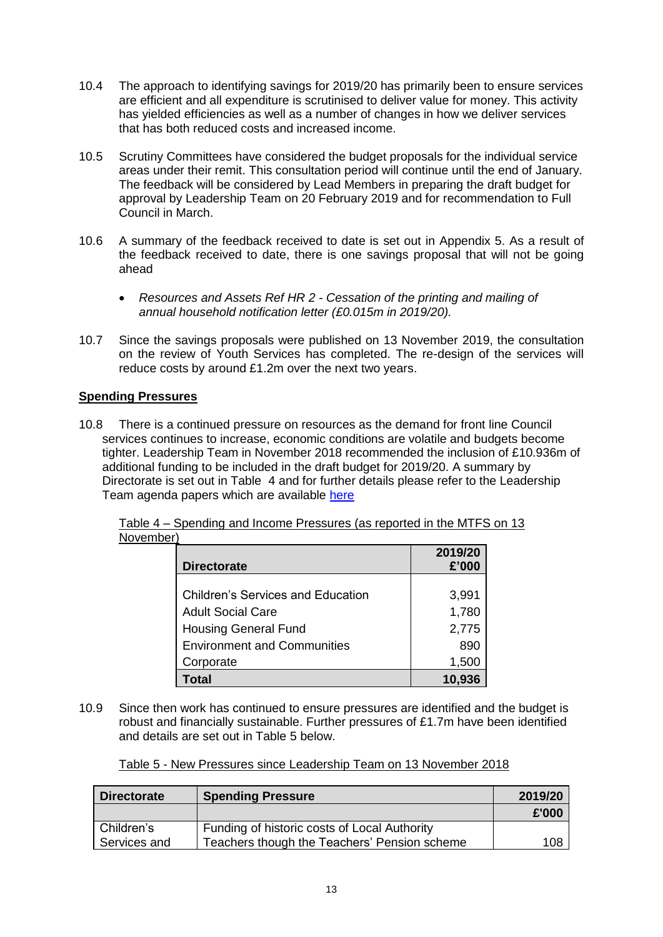- 10.4 The approach to identifying savings for 2019/20 has primarily been to ensure services are efficient and all expenditure is scrutinised to deliver value for money. This activity has yielded efficiencies as well as a number of changes in how we deliver services that has both reduced costs and increased income.
- 10.5 Scrutiny Committees have considered the budget proposals for the individual service areas under their remit. This consultation period will continue until the end of January. The feedback will be considered by Lead Members in preparing the draft budget for approval by Leadership Team on 20 February 2019 and for recommendation to Full Council in March.
- 10.6 A summary of the feedback received to date is set out in Appendix 5. As a result of the feedback received to date, there is one savings proposal that will not be going ahead
	- *Resources and Assets Ref HR 2 - Cessation of the printing and mailing of annual household notification letter (£0.015m in 2019/20).*
- 10.7 Since the savings proposals were published on 13 November 2019, the consultation on the review of Youth Services has completed. The re-design of the services will reduce costs by around £1.2m over the next two years.

# **Spending Pressures**

10.8 There is a continued pressure on resources as the demand for front line Council services continues to increase, economic conditions are volatile and budgets become tighter. Leadership Team in November 2018 recommended the inclusion of £10.936m of additional funding to be included in the draft budget for 2019/20. A summary by Directorate is set out in Table 4 and for further details please refer to the Leadership Team agenda papers which are available [here](https://www.rbkc.gov.uk/committees/Document.ashx?czJKcaeAi5tUFL1DTL2UE4zNRBcoShgo=%2bXJGIqjdVAVfVEVKLwWbmMXS85AEsAr3CNRbCnq%2bQgLXmfszln41FQ%3d%3d&rUzwRPf%2bZ3zd4E7Ikn8Lyw%3d%3d=pwRE6AGJFLDNlh225F5QMaQWCtPHwdhUfCZ%2fLUQzgA2uL5jNRG4jdQ%3d%3d&mCTIbCubSFfXsDGW9IXnlg%3d%3d=hFflUdN3100%3d&kCx1AnS9%2fpWZQ40DXFvdEw%3d%3d=hFflUdN3100%3d&uJovDxwdjMPoYv%2bAJvYtyA%3d%3d=ctNJFf55vVA%3d&FgPlIEJYlotS%2bYGoBi5olA%3d%3d=NHdURQburHA%3d&d9Qjj0ag1Pd993jsyOJqFvmyB7X0CSQK=ctNJFf55vVA%3d&WGewmoAfeNR9xqBux0r1Q8Za60lavYmz=ctNJFf55vVA%3d&WGewmoAfeNQ16B2MHuCpMRKZMwaG1PaO=ctNJFf55vVA%3d)

| <b>Directorate</b>                       | 2019/20<br>£'000 |
|------------------------------------------|------------------|
| <b>Children's Services and Education</b> | 3,991            |
| <b>Adult Social Care</b>                 | 1,780            |
| <b>Housing General Fund</b>              | 2,775            |
| <b>Environment and Communities</b>       | 890              |
| Corporate                                | 1,500            |
| Гоtal                                    | 10.936           |

Table 4 – Spending and Income Pressures (as reported in the MTFS on 13 November)

10.9 Since then work has continued to ensure pressures are identified and the budget is robust and financially sustainable. Further pressures of £1.7m have been identified and details are set out in Table 5 below.

| Table 5 - New Pressures since Leadership Team on 13 November 2018 |  |  |
|-------------------------------------------------------------------|--|--|
|                                                                   |  |  |

| <b>Directorate</b> | <b>Spending Pressure</b>                     | 2019/20 |
|--------------------|----------------------------------------------|---------|
|                    |                                              | £'000   |
| Children's         | Funding of historic costs of Local Authority |         |
| Services and       | Teachers though the Teachers' Pension scheme | 108     |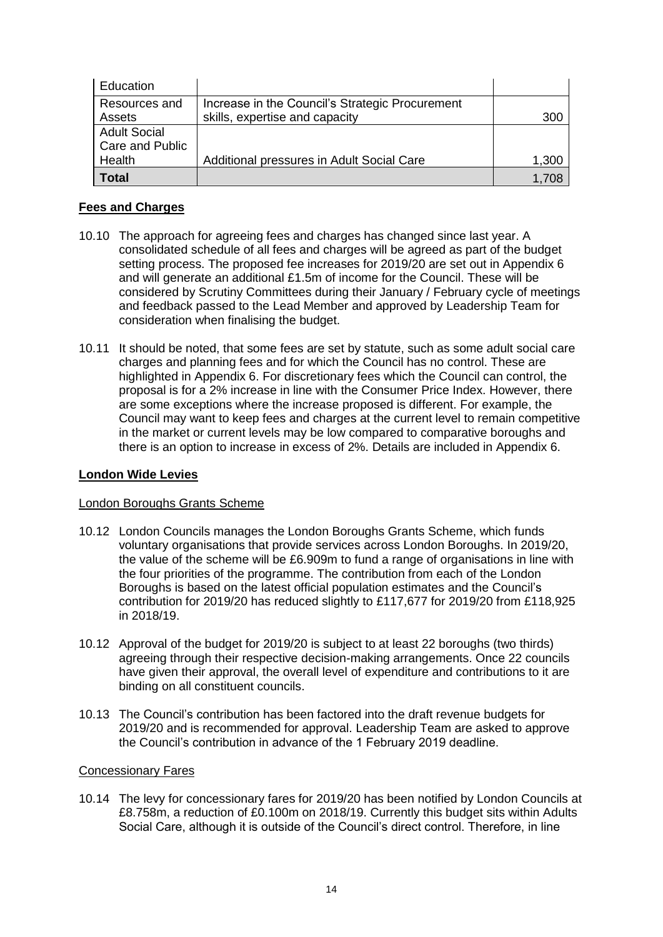| Education              |                                                 |       |
|------------------------|-------------------------------------------------|-------|
| Resources and          | Increase in the Council's Strategic Procurement |       |
| Assets                 | skills, expertise and capacity                  | 300   |
| <b>Adult Social</b>    |                                                 |       |
| <b>Care and Public</b> |                                                 |       |
| Health                 | Additional pressures in Adult Social Care       | 1,300 |
| Total                  |                                                 | 1.708 |

# **Fees and Charges**

- 10.10 The approach for agreeing fees and charges has changed since last year. A consolidated schedule of all fees and charges will be agreed as part of the budget setting process. The proposed fee increases for 2019/20 are set out in Appendix 6 and will generate an additional  $£1.5m$  of income for the Council. These will be considered by Scrutiny Committees during their January / February cycle of meetings and feedback passed to the Lead Member and approved by Leadership Team for consideration when finalising the budget.
- 10.11 It should be noted, that some fees are set by statute, such as some adult social care charges and planning fees and for which the Council has no control. These are highlighted in Appendix 6. For discretionary fees which the Council can control, the proposal is for a 2% increase in line with the Consumer Price Index. However, there are some exceptions where the increase proposed is different. For example, the Council may want to keep fees and charges at the current level to remain competitive in the market or current levels may be low compared to comparative boroughs and there is an option to increase in excess of 2%. Details are included in Appendix 6.

## **London Wide Levies**

### London Boroughs Grants Scheme

- 10.12 London Councils manages the London Boroughs Grants Scheme, which funds voluntary organisations that provide services across London Boroughs. In 2019/20, the value of the scheme will be £6.909m to fund a range of organisations in line with the four priorities of the programme. The contribution from each of the London Boroughs is based on the latest official population estimates and the Council's contribution for 2019/20 has reduced slightly to £117,677 for 2019/20 from £118,925 in 2018/19.
- 10.12 Approval of the budget for 2019/20 is subject to at least 22 boroughs (two thirds) agreeing through their respective decision-making arrangements. Once 22 councils have given their approval, the overall level of expenditure and contributions to it are binding on all constituent councils.
- 10.13 The Council's contribution has been factored into the draft revenue budgets for 2019/20 and is recommended for approval. Leadership Team are asked to approve the Council's contribution in advance of the 1 February 2019 deadline.

#### Concessionary Fares

10.14 The levy for concessionary fares for 2019/20 has been notified by London Councils at £8.758m, a reduction of £0.100m on 2018/19. Currently this budget sits within Adults Social Care, although it is outside of the Council's direct control. Therefore, in line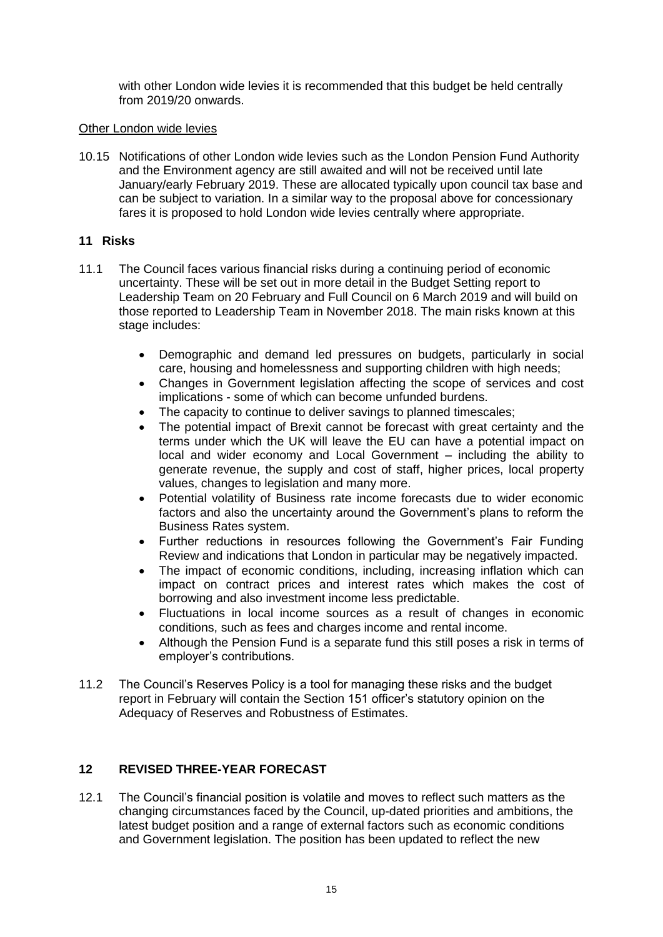with other London wide levies it is recommended that this budget be held centrally from 2019/20 onwards.

#### Other London wide levies

10.15 Notifications of other London wide levies such as the London Pension Fund Authority and the Environment agency are still awaited and will not be received until late January/early February 2019. These are allocated typically upon council tax base and can be subject to variation. In a similar way to the proposal above for concessionary fares it is proposed to hold London wide levies centrally where appropriate.

#### **11 Risks**

- 11.1 The Council faces various financial risks during a continuing period of economic uncertainty. These will be set out in more detail in the Budget Setting report to Leadership Team on 20 February and Full Council on 6 March 2019 and will build on those reported to Leadership Team in November 2018. The main risks known at this stage includes:
	- Demographic and demand led pressures on budgets, particularly in social care, housing and homelessness and supporting children with high needs;
	- Changes in Government legislation affecting the scope of services and cost implications - some of which can become unfunded burdens.
	- The capacity to continue to deliver savings to planned timescales;
	- The potential impact of Brexit cannot be forecast with great certainty and the terms under which the UK will leave the EU can have a potential impact on local and wider economy and Local Government – including the ability to generate revenue, the supply and cost of staff, higher prices, local property values, changes to legislation and many more.
	- Potential volatility of Business rate income forecasts due to wider economic factors and also the uncertainty around the Government's plans to reform the Business Rates system.
	- Further reductions in resources following the Government's Fair Funding Review and indications that London in particular may be negatively impacted.
	- The impact of economic conditions, including, increasing inflation which can impact on contract prices and interest rates which makes the cost of borrowing and also investment income less predictable.
	- Fluctuations in local income sources as a result of changes in economic conditions, such as fees and charges income and rental income.
	- Although the Pension Fund is a separate fund this still poses a risk in terms of employer's contributions.
- 11.2 The Council's Reserves Policy is a tool for managing these risks and the budget report in February will contain the Section 151 officer's statutory opinion on the Adequacy of Reserves and Robustness of Estimates.

# **12 REVISED THREE-YEAR FORECAST**

12.1 The Council's financial position is volatile and moves to reflect such matters as the changing circumstances faced by the Council, up-dated priorities and ambitions, the latest budget position and a range of external factors such as economic conditions and Government legislation. The position has been updated to reflect the new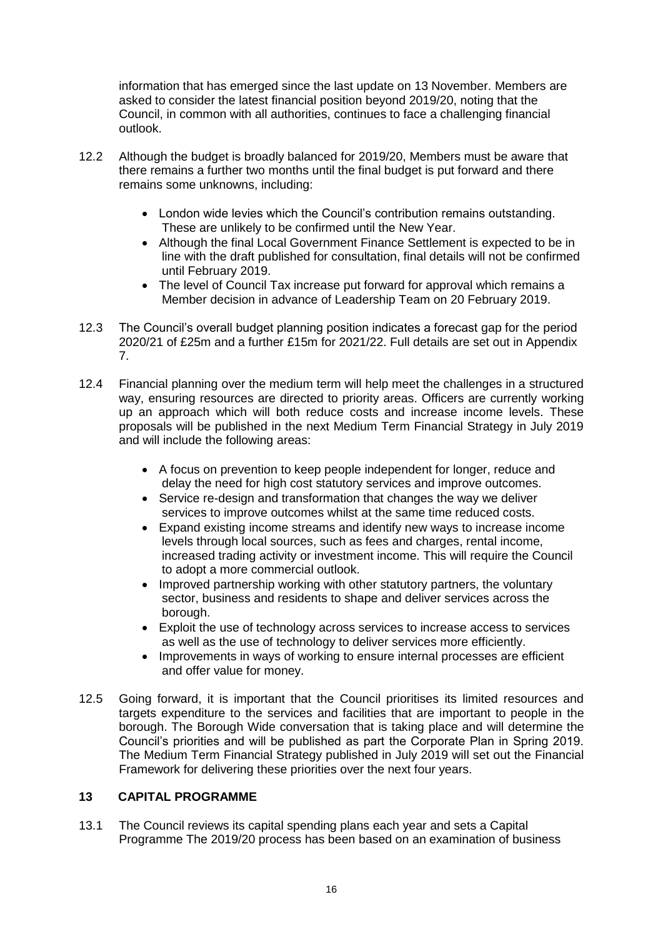information that has emerged since the last update on 13 November. Members are asked to consider the latest financial position beyond 2019/20, noting that the Council, in common with all authorities, continues to face a challenging financial outlook.

- 12.2 Although the budget is broadly balanced for 2019/20, Members must be aware that there remains a further two months until the final budget is put forward and there remains some unknowns, including:
	- London wide levies which the Council's contribution remains outstanding. These are unlikely to be confirmed until the New Year.
	- Although the final Local Government Finance Settlement is expected to be in line with the draft published for consultation, final details will not be confirmed until February 2019.
	- The level of Council Tax increase put forward for approval which remains a Member decision in advance of Leadership Team on 20 February 2019.
- 12.3 The Council's overall budget planning position indicates a forecast gap for the period 2020/21 of £25m and a further £15m for 2021/22. Full details are set out in Appendix 7.
- 12.4 Financial planning over the medium term will help meet the challenges in a structured way, ensuring resources are directed to priority areas. Officers are currently working up an approach which will both reduce costs and increase income levels. These proposals will be published in the next Medium Term Financial Strategy in July 2019 and will include the following areas:
	- A focus on prevention to keep people independent for longer, reduce and delay the need for high cost statutory services and improve outcomes.
	- Service re-design and transformation that changes the way we deliver services to improve outcomes whilst at the same time reduced costs.
	- Expand existing income streams and identify new ways to increase income levels through local sources, such as fees and charges, rental income, increased trading activity or investment income. This will require the Council to adopt a more commercial outlook.
	- Improved partnership working with other statutory partners, the voluntary sector, business and residents to shape and deliver services across the borough.
	- Exploit the use of technology across services to increase access to services as well as the use of technology to deliver services more efficiently.
	- Improvements in ways of working to ensure internal processes are efficient and offer value for money.
- 12.5 Going forward, it is important that the Council prioritises its limited resources and targets expenditure to the services and facilities that are important to people in the borough. The Borough Wide conversation that is taking place and will determine the Council's priorities and will be published as part the Corporate Plan in Spring 2019. The Medium Term Financial Strategy published in July 2019 will set out the Financial Framework for delivering these priorities over the next four years.

# **13 CAPITAL PROGRAMME**

13.1 The Council reviews its capital spending plans each year and sets a Capital Programme The 2019/20 process has been based on an examination of business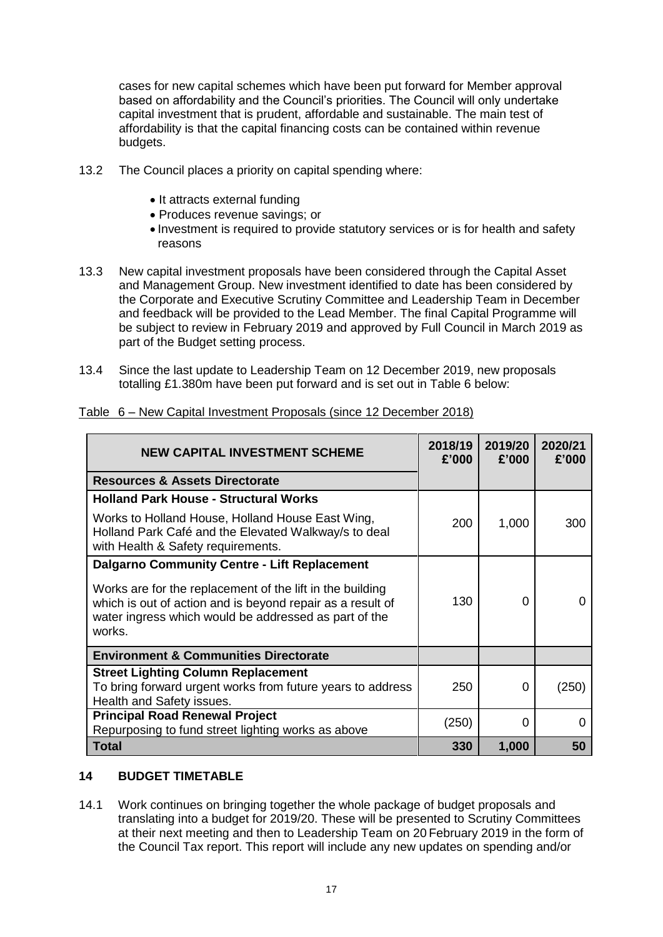cases for new capital schemes which have been put forward for Member approval based on affordability and the Council's priorities. The Council will only undertake capital investment that is prudent, affordable and sustainable. The main test of affordability is that the capital financing costs can be contained within revenue budgets.

- 13.2 The Council places a priority on capital spending where:
	- It attracts external funding
	- Produces revenue savings; or
	- Investment is required to provide statutory services or is for health and safety reasons
- 13.3 New capital investment proposals have been considered through the Capital Asset and Management Group. New investment identified to date has been considered by the Corporate and Executive Scrutiny Committee and Leadership Team in December and feedback will be provided to the Lead Member. The final Capital Programme will be subject to review in February 2019 and approved by Full Council in March 2019 as part of the Budget setting process.
- 13.4 Since the last update to Leadership Team on 12 December 2019, new proposals totalling £1.380m have been put forward and is set out in Table 6 below:

| <b>NEW CAPITAL INVESTMENT SCHEME</b>                                                                                                                                                       | 2018/19<br>£'000 | 2019/20<br>£'000 | 2020/21<br>£'000 |
|--------------------------------------------------------------------------------------------------------------------------------------------------------------------------------------------|------------------|------------------|------------------|
| <b>Resources &amp; Assets Directorate</b>                                                                                                                                                  |                  |                  |                  |
| <b>Holland Park House - Structural Works</b>                                                                                                                                               |                  |                  |                  |
| Works to Holland House, Holland House East Wing,<br>Holland Park Café and the Elevated Walkway/s to deal<br>with Health & Safety requirements.                                             | 200              | 1,000            | 300              |
| <b>Dalgarno Community Centre - Lift Replacement</b>                                                                                                                                        |                  |                  |                  |
| Works are for the replacement of the lift in the building<br>which is out of action and is beyond repair as a result of<br>water ingress which would be addressed as part of the<br>works. | 130              | 0                |                  |
| <b>Environment &amp; Communities Directorate</b>                                                                                                                                           |                  |                  |                  |
| <b>Street Lighting Column Replacement</b><br>To bring forward urgent works from future years to address<br>Health and Safety issues.                                                       | 250              | 0                | (250)            |
| <b>Principal Road Renewal Project</b><br>Repurposing to fund street lighting works as above                                                                                                | (250)            | $\Omega$         | O                |
| <b>Total</b>                                                                                                                                                                               | 330              | 1,000            | 50               |

Table 6 – New Capital Investment Proposals (since 12 December 2018)

### **14 BUDGET TIMETABLE**

14.1 Work continues on bringing together the whole package of budget proposals and translating into a budget for 2019/20. These will be presented to Scrutiny Committees at their next meeting and then to Leadership Team on 20 February 2019 in the form of the Council Tax report. This report will include any new updates on spending and/or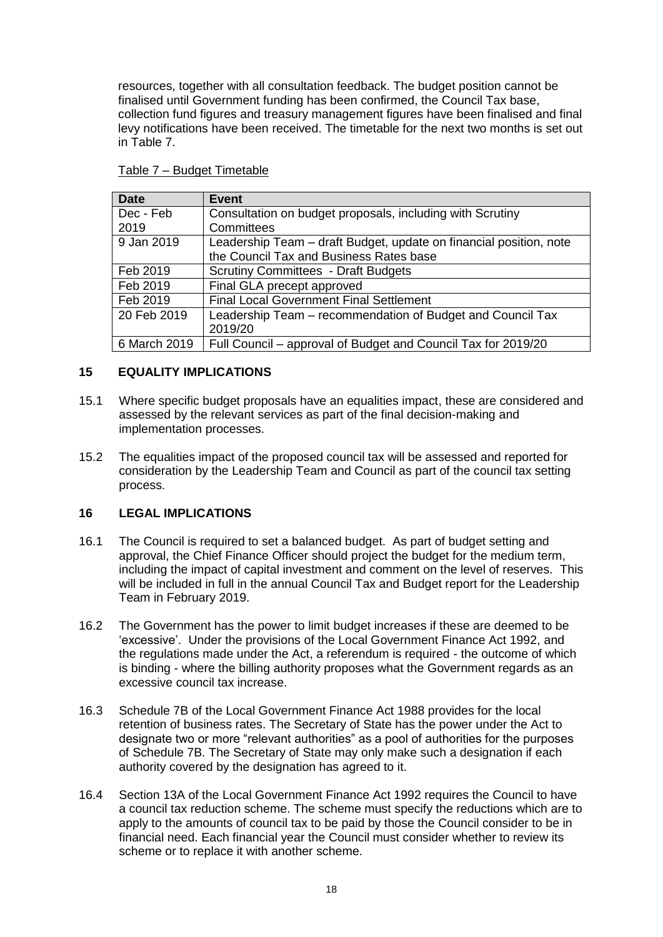resources, together with all consultation feedback. The budget position cannot be finalised until Government funding has been confirmed, the Council Tax base, collection fund figures and treasury management figures have been finalised and final levy notifications have been received. The timetable for the next two months is set out in Table 7.

| <b>Date</b>  | <b>Event</b>                                                       |
|--------------|--------------------------------------------------------------------|
| Dec - Feb    | Consultation on budget proposals, including with Scrutiny          |
| 2019         | Committees                                                         |
| 9 Jan 2019   | Leadership Team – draft Budget, update on financial position, note |
|              | the Council Tax and Business Rates base                            |
| Feb 2019     | <b>Scrutiny Committees - Draft Budgets</b>                         |
| Feb 2019     | Final GLA precept approved                                         |
| Feb 2019     | <b>Final Local Government Final Settlement</b>                     |
| 20 Feb 2019  | Leadership Team – recommendation of Budget and Council Tax         |
|              | 2019/20                                                            |
| 6 March 2019 | Full Council - approval of Budget and Council Tax for 2019/20      |

#### Table 7 – Budget Timetable

### **15 EQUALITY IMPLICATIONS**

- 15.1 Where specific budget proposals have an equalities impact, these are considered and assessed by the relevant services as part of the final decision-making and implementation processes.
- 15.2 The equalities impact of the proposed council tax will be assessed and reported for consideration by the Leadership Team and Council as part of the council tax setting process.

### **16 LEGAL IMPLICATIONS**

- 16.1 The Council is required to set a balanced budget. As part of budget setting and approval, the Chief Finance Officer should project the budget for the medium term, including the impact of capital investment and comment on the level of reserves. This will be included in full in the annual Council Tax and Budget report for the Leadership Team in February 2019.
- 16.2 The Government has the power to limit budget increases if these are deemed to be 'excessive'. Under the provisions of the Local Government Finance Act 1992, and the regulations made under the Act, a referendum is required - the outcome of which is binding - where the billing authority proposes what the Government regards as an excessive council tax increase.
- 16.3 Schedule 7B of the Local Government Finance Act 1988 provides for the local retention of business rates. The Secretary of State has the power under the Act to designate two or more "relevant authorities" as a pool of authorities for the purposes of Schedule 7B. The Secretary of State may only make such a designation if each authority covered by the designation has agreed to it.
- 16.4 Section 13A of the Local Government Finance Act 1992 requires the Council to have a council tax reduction scheme. The scheme must specify the reductions which are to apply to the amounts of council tax to be paid by those the Council consider to be in financial need. Each financial year the Council must consider whether to review its scheme or to replace it with another scheme.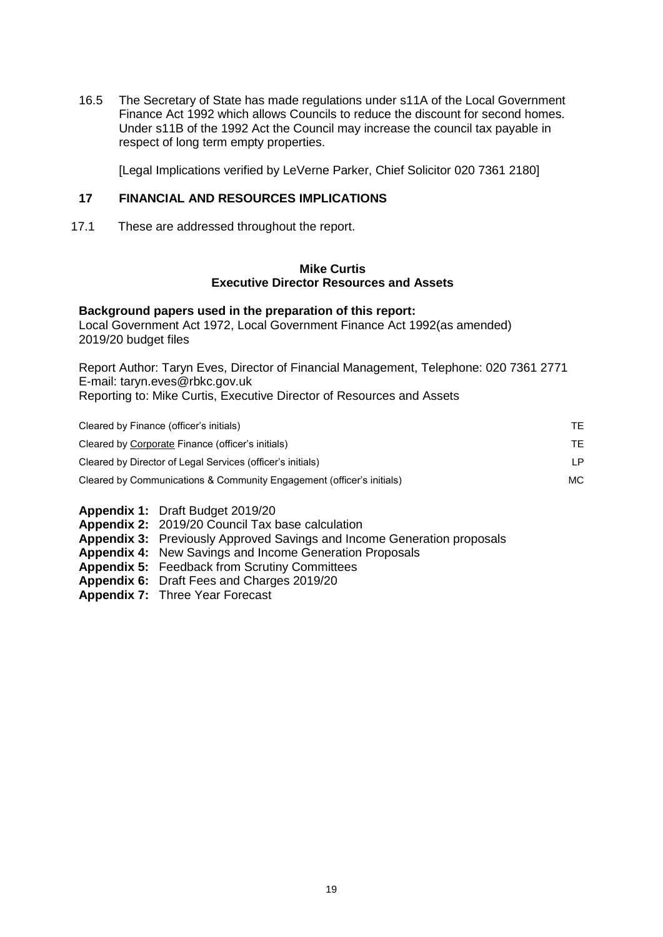16.5 The Secretary of State has made regulations under s11A of the Local Government Finance Act 1992 which allows Councils to reduce the discount for second homes. Under s11B of the 1992 Act the Council may increase the council tax payable in respect of long term empty properties.

[Legal Implications verified by LeVerne Parker, Chief Solicitor 020 7361 2180]

#### **17 FINANCIAL AND RESOURCES IMPLICATIONS**

17.1 These are addressed throughout the report.

#### **Mike Curtis Executive Director Resources and Assets**

#### **Background papers used in the preparation of this report:**

Local Government Act 1972, Local Government Finance Act 1992(as amended) 2019/20 budget files

Report Author: Taryn Eves, Director of Financial Management, Telephone: 020 7361 2771 E-mail: taryn.eves@rbkc.gov.uk Reporting to: Mike Curtis, Executive Director of Resources and Assets

| Cleared by Finance (officer's initials)                               | TF. |
|-----------------------------------------------------------------------|-----|
| Cleared by Corporate Finance (officer's initials)                     | TF. |
| Cleared by Director of Legal Services (officer's initials)            | I P |
| Cleared by Communications & Community Engagement (officer's initials) | MC. |

- **Appendix 1:** Draft Budget 2019/20
- **Appendix 2:** 2019/20 Council Tax base calculation
- **Appendix 3:** Previously Approved Savings and Income Generation proposals
- **Appendix 4:** New Savings and Income Generation Proposals
- **Appendix 5:** Feedback from Scrutiny Committees
- **Appendix 6:** Draft Fees and Charges 2019/20
- **Appendix 7:** Three Year Forecast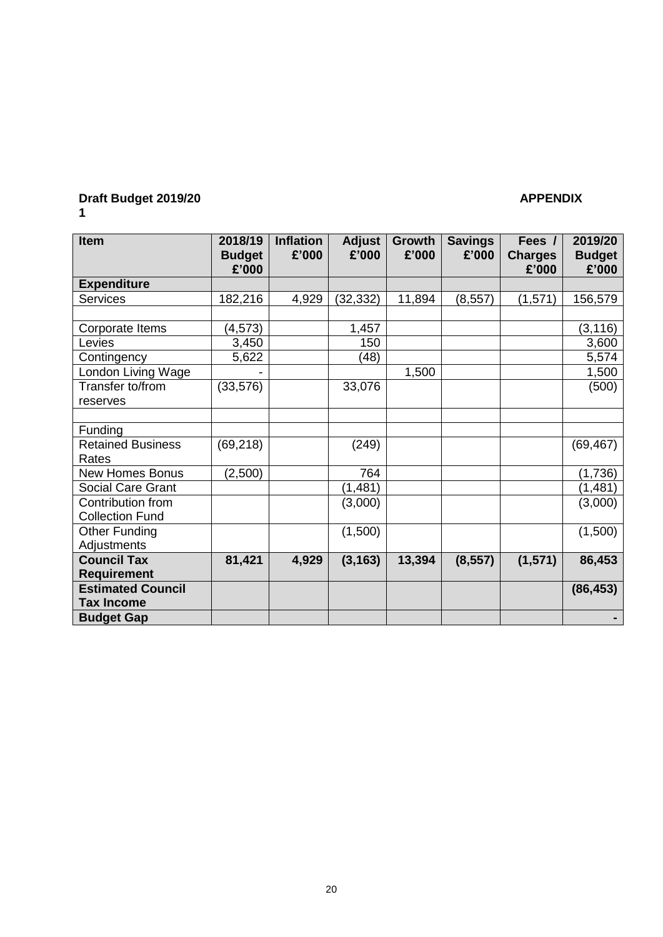#### **Draft Budget 2019/20 APPENDIX 1**

| Item                     | 2018/19<br><b>Budget</b><br>£'000 | <b>Inflation</b><br>£'000 | <b>Adjust</b><br>£'000 | <b>Growth</b><br>£'000 | <b>Savings</b><br>£'000 | Fees /<br><b>Charges</b><br>£'000 | 2019/20<br><b>Budget</b><br>£'000 |
|--------------------------|-----------------------------------|---------------------------|------------------------|------------------------|-------------------------|-----------------------------------|-----------------------------------|
| <b>Expenditure</b>       |                                   |                           |                        |                        |                         |                                   |                                   |
| <b>Services</b>          | 182,216                           | 4,929                     | (32, 332)              | 11,894                 | (8, 557)                | (1,571)                           | 156,579                           |
|                          |                                   |                           |                        |                        |                         |                                   |                                   |
| Corporate Items          | (4, 573)                          |                           | 1,457                  |                        |                         |                                   | (3, 116)                          |
| Levies                   | 3,450                             |                           | 150                    |                        |                         |                                   | 3,600                             |
| Contingency              | 5,622                             |                           | (48)                   |                        |                         |                                   | 5,574                             |
| London Living Wage       |                                   |                           |                        | 1,500                  |                         |                                   | 1,500                             |
| Transfer to/from         | (33, 576)                         |                           | 33,076                 |                        |                         |                                   | (500)                             |
| reserves                 |                                   |                           |                        |                        |                         |                                   |                                   |
|                          |                                   |                           |                        |                        |                         |                                   |                                   |
| Funding                  |                                   |                           |                        |                        |                         |                                   |                                   |
| <b>Retained Business</b> | (69, 218)                         |                           | (249)                  |                        |                         |                                   | (69, 467)                         |
| Rates                    |                                   |                           |                        |                        |                         |                                   |                                   |
| <b>New Homes Bonus</b>   | (2,500)                           |                           | 764                    |                        |                         |                                   | (1,736)                           |
| Social Care Grant        |                                   |                           | (1, 481)               |                        |                         |                                   | (1,481)                           |
| Contribution from        |                                   |                           | (3,000)                |                        |                         |                                   | (3,000)                           |
| <b>Collection Fund</b>   |                                   |                           |                        |                        |                         |                                   |                                   |
| <b>Other Funding</b>     |                                   |                           | (1,500)                |                        |                         |                                   | (1,500)                           |
| Adjustments              |                                   |                           |                        |                        |                         |                                   |                                   |
| <b>Council Tax</b>       | 81,421                            | 4,929                     | (3, 163)               | 13,394                 | (8, 557)                | (1, 571)                          | 86,453                            |
| <b>Requirement</b>       |                                   |                           |                        |                        |                         |                                   |                                   |
| <b>Estimated Council</b> |                                   |                           |                        |                        |                         |                                   | (86, 453)                         |
| <b>Tax Income</b>        |                                   |                           |                        |                        |                         |                                   |                                   |
| <b>Budget Gap</b>        |                                   |                           |                        |                        |                         |                                   |                                   |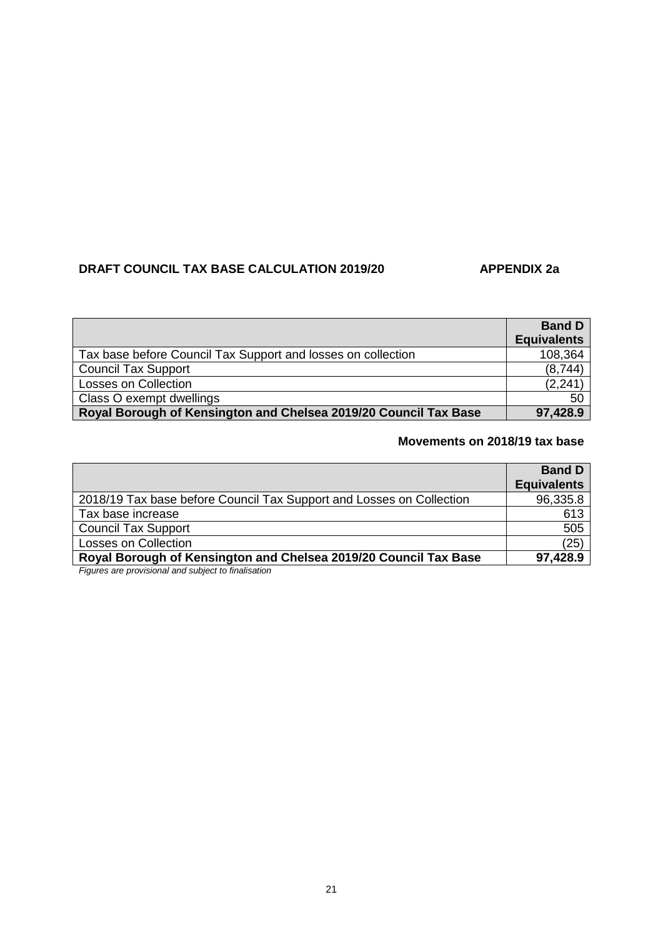# **DRAFT COUNCIL TAX BASE CALCULATION 2019/20 APPENDIX 2a**

|                                                                  | <b>Band D</b>      |
|------------------------------------------------------------------|--------------------|
|                                                                  | <b>Equivalents</b> |
| Tax base before Council Tax Support and losses on collection     | 108,364            |
| <b>Council Tax Support</b>                                       | (8,744)            |
| <b>Losses on Collection</b>                                      | (2, 241)           |
| Class O exempt dwellings                                         | 50                 |
| Royal Borough of Kensington and Chelsea 2019/20 Council Tax Base | 97,428.9           |

### **Movements on 2018/19 tax base**

|                                                                      | <b>Band D</b><br><b>Equivalents</b> |
|----------------------------------------------------------------------|-------------------------------------|
| 2018/19 Tax base before Council Tax Support and Losses on Collection | 96,335.8                            |
| Tax base increase                                                    | 613                                 |
| <b>Council Tax Support</b>                                           | 505                                 |
| <b>Losses on Collection</b>                                          | (25)                                |
| Royal Borough of Kensington and Chelsea 2019/20 Council Tax Base     | 97,428.9                            |
| Figures are provisional and oubject to finalization                  |                                     |

*Figures are provisional and subject to finalisation*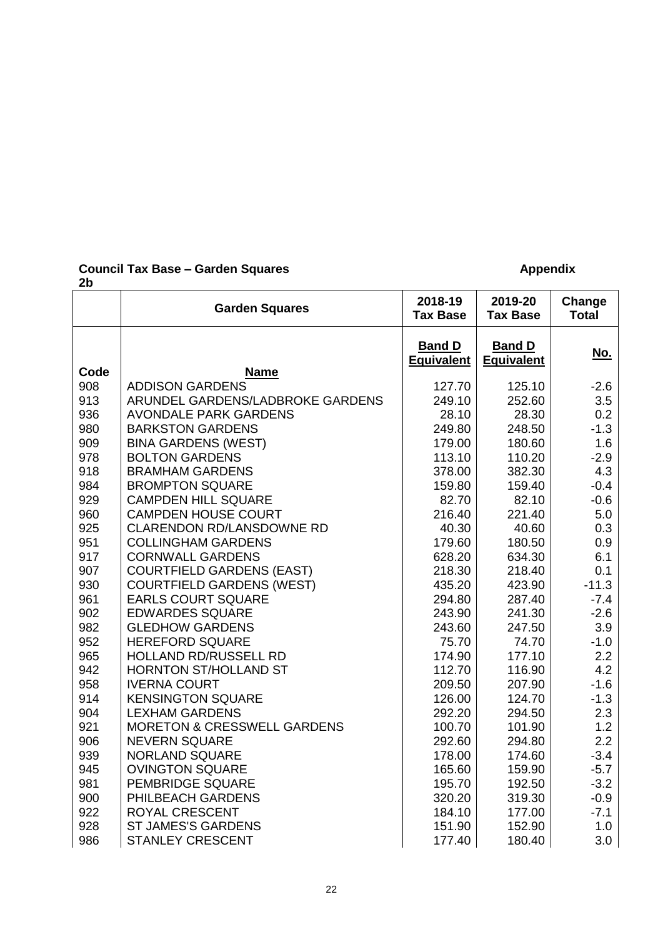#### **Council Tax Base – Garden Squares <b>Appendix Appendix Appendix**

| <b>Garden Squares</b>                  | 2018-19<br><b>Tax Base</b>                                                                                                                                                                                                                                                                                                                                                                                                                                                                                                                                                                                           | 2019-20<br><b>Tax Base</b>                                                                                                                                                                        | Change<br><b>Total</b>                                                                                                                                                                            |
|----------------------------------------|----------------------------------------------------------------------------------------------------------------------------------------------------------------------------------------------------------------------------------------------------------------------------------------------------------------------------------------------------------------------------------------------------------------------------------------------------------------------------------------------------------------------------------------------------------------------------------------------------------------------|---------------------------------------------------------------------------------------------------------------------------------------------------------------------------------------------------|---------------------------------------------------------------------------------------------------------------------------------------------------------------------------------------------------|
|                                        | <b>Band D</b><br><b>Equivalent</b>                                                                                                                                                                                                                                                                                                                                                                                                                                                                                                                                                                                   | <b>Band D</b><br><b>Equivalent</b>                                                                                                                                                                | No.                                                                                                                                                                                               |
|                                        |                                                                                                                                                                                                                                                                                                                                                                                                                                                                                                                                                                                                                      |                                                                                                                                                                                                   |                                                                                                                                                                                                   |
|                                        |                                                                                                                                                                                                                                                                                                                                                                                                                                                                                                                                                                                                                      |                                                                                                                                                                                                   | $-2.6$                                                                                                                                                                                            |
|                                        |                                                                                                                                                                                                                                                                                                                                                                                                                                                                                                                                                                                                                      |                                                                                                                                                                                                   | 3.5                                                                                                                                                                                               |
|                                        |                                                                                                                                                                                                                                                                                                                                                                                                                                                                                                                                                                                                                      |                                                                                                                                                                                                   | 0.2                                                                                                                                                                                               |
|                                        |                                                                                                                                                                                                                                                                                                                                                                                                                                                                                                                                                                                                                      |                                                                                                                                                                                                   | $-1.3$                                                                                                                                                                                            |
|                                        |                                                                                                                                                                                                                                                                                                                                                                                                                                                                                                                                                                                                                      |                                                                                                                                                                                                   | 1.6                                                                                                                                                                                               |
|                                        |                                                                                                                                                                                                                                                                                                                                                                                                                                                                                                                                                                                                                      |                                                                                                                                                                                                   | $-2.9$                                                                                                                                                                                            |
|                                        |                                                                                                                                                                                                                                                                                                                                                                                                                                                                                                                                                                                                                      |                                                                                                                                                                                                   | 4.3                                                                                                                                                                                               |
|                                        |                                                                                                                                                                                                                                                                                                                                                                                                                                                                                                                                                                                                                      |                                                                                                                                                                                                   | $-0.4$                                                                                                                                                                                            |
|                                        |                                                                                                                                                                                                                                                                                                                                                                                                                                                                                                                                                                                                                      |                                                                                                                                                                                                   | $-0.6$                                                                                                                                                                                            |
|                                        |                                                                                                                                                                                                                                                                                                                                                                                                                                                                                                                                                                                                                      |                                                                                                                                                                                                   | 5.0                                                                                                                                                                                               |
|                                        |                                                                                                                                                                                                                                                                                                                                                                                                                                                                                                                                                                                                                      |                                                                                                                                                                                                   | 0.3                                                                                                                                                                                               |
|                                        |                                                                                                                                                                                                                                                                                                                                                                                                                                                                                                                                                                                                                      |                                                                                                                                                                                                   | 0.9                                                                                                                                                                                               |
|                                        |                                                                                                                                                                                                                                                                                                                                                                                                                                                                                                                                                                                                                      |                                                                                                                                                                                                   | 6.1                                                                                                                                                                                               |
|                                        |                                                                                                                                                                                                                                                                                                                                                                                                                                                                                                                                                                                                                      |                                                                                                                                                                                                   | 0.1                                                                                                                                                                                               |
|                                        |                                                                                                                                                                                                                                                                                                                                                                                                                                                                                                                                                                                                                      |                                                                                                                                                                                                   | $-11.3$                                                                                                                                                                                           |
|                                        |                                                                                                                                                                                                                                                                                                                                                                                                                                                                                                                                                                                                                      |                                                                                                                                                                                                   | $-7.4$                                                                                                                                                                                            |
|                                        |                                                                                                                                                                                                                                                                                                                                                                                                                                                                                                                                                                                                                      |                                                                                                                                                                                                   | $-2.6$                                                                                                                                                                                            |
|                                        |                                                                                                                                                                                                                                                                                                                                                                                                                                                                                                                                                                                                                      | 247.50                                                                                                                                                                                            | 3.9                                                                                                                                                                                               |
| <b>HEREFORD SQUARE</b>                 | 75.70                                                                                                                                                                                                                                                                                                                                                                                                                                                                                                                                                                                                                | 74.70                                                                                                                                                                                             | $-1.0$                                                                                                                                                                                            |
|                                        |                                                                                                                                                                                                                                                                                                                                                                                                                                                                                                                                                                                                                      |                                                                                                                                                                                                   | 2.2                                                                                                                                                                                               |
| HORNTON ST/HOLLAND ST                  | 112.70                                                                                                                                                                                                                                                                                                                                                                                                                                                                                                                                                                                                               | 116.90                                                                                                                                                                                            | 4.2                                                                                                                                                                                               |
| <b>IVERNA COURT</b>                    | 209.50                                                                                                                                                                                                                                                                                                                                                                                                                                                                                                                                                                                                               | 207.90                                                                                                                                                                                            | $-1.6$                                                                                                                                                                                            |
| <b>KENSINGTON SQUARE</b>               | 126.00                                                                                                                                                                                                                                                                                                                                                                                                                                                                                                                                                                                                               | 124.70                                                                                                                                                                                            | $-1.3$                                                                                                                                                                                            |
| <b>LEXHAM GARDENS</b>                  | 292.20                                                                                                                                                                                                                                                                                                                                                                                                                                                                                                                                                                                                               | 294.50                                                                                                                                                                                            | 2.3                                                                                                                                                                                               |
| <b>MORETON &amp; CRESSWELL GARDENS</b> | 100.70                                                                                                                                                                                                                                                                                                                                                                                                                                                                                                                                                                                                               | 101.90                                                                                                                                                                                            | 1.2                                                                                                                                                                                               |
| <b>NEVERN SQUARE</b>                   | 292.60                                                                                                                                                                                                                                                                                                                                                                                                                                                                                                                                                                                                               | 294.80                                                                                                                                                                                            | 2.2                                                                                                                                                                                               |
| NORLAND SQUARE                         | 178.00                                                                                                                                                                                                                                                                                                                                                                                                                                                                                                                                                                                                               | 174.60                                                                                                                                                                                            | $-3.4$                                                                                                                                                                                            |
| <b>OVINGTON SQUARE</b>                 | 165.60                                                                                                                                                                                                                                                                                                                                                                                                                                                                                                                                                                                                               | 159.90                                                                                                                                                                                            | $-5.7$                                                                                                                                                                                            |
|                                        | 195.70                                                                                                                                                                                                                                                                                                                                                                                                                                                                                                                                                                                                               | 192.50                                                                                                                                                                                            | $-3.2$                                                                                                                                                                                            |
| PHILBEACH GARDENS                      | 320.20                                                                                                                                                                                                                                                                                                                                                                                                                                                                                                                                                                                                               | 319.30                                                                                                                                                                                            | $-0.9$                                                                                                                                                                                            |
| <b>ROYAL CRESCENT</b>                  | 184.10                                                                                                                                                                                                                                                                                                                                                                                                                                                                                                                                                                                                               |                                                                                                                                                                                                   | $-7.1$                                                                                                                                                                                            |
| <b>ST JAMES'S GARDENS</b>              |                                                                                                                                                                                                                                                                                                                                                                                                                                                                                                                                                                                                                      |                                                                                                                                                                                                   | 1.0                                                                                                                                                                                               |
| <b>STANLEY CRESCENT</b>                | 177.40                                                                                                                                                                                                                                                                                                                                                                                                                                                                                                                                                                                                               | 180.40                                                                                                                                                                                            | 3.0                                                                                                                                                                                               |
|                                        | <b>Name</b><br><b>ADDISON GARDENS</b><br>ARUNDEL GARDENS/LADBROKE GARDENS<br><b>AVONDALE PARK GARDENS</b><br><b>BARKSTON GARDENS</b><br><b>BINA GARDENS (WEST)</b><br><b>BOLTON GARDENS</b><br><b>BRAMHAM GARDENS</b><br><b>BROMPTON SQUARE</b><br><b>CAMPDEN HILL SQUARE</b><br><b>CAMPDEN HOUSE COURT</b><br><b>CLARENDON RD/LANSDOWNE RD</b><br><b>COLLINGHAM GARDENS</b><br><b>CORNWALL GARDENS</b><br><b>COURTFIELD GARDENS (EAST)</b><br><b>COURTFIELD GARDENS (WEST)</b><br><b>EARLS COURT SQUARE</b><br><b>EDWARDES SQUARE</b><br><b>GLEDHOW GARDENS</b><br><b>HOLLAND RD/RUSSELL RD</b><br>PEMBRIDGE SQUARE | 127.70<br>249.10<br>28.10<br>249.80<br>179.00<br>113.10<br>378.00<br>159.80<br>82.70<br>216.40<br>40.30<br>179.60<br>628.20<br>218.30<br>435.20<br>294.80<br>243.90<br>243.60<br>174.90<br>151.90 | 125.10<br>252.60<br>28.30<br>248.50<br>180.60<br>110.20<br>382.30<br>159.40<br>82.10<br>221.40<br>40.60<br>180.50<br>634.30<br>218.40<br>423.90<br>287.40<br>241.30<br>177.10<br>177.00<br>152.90 |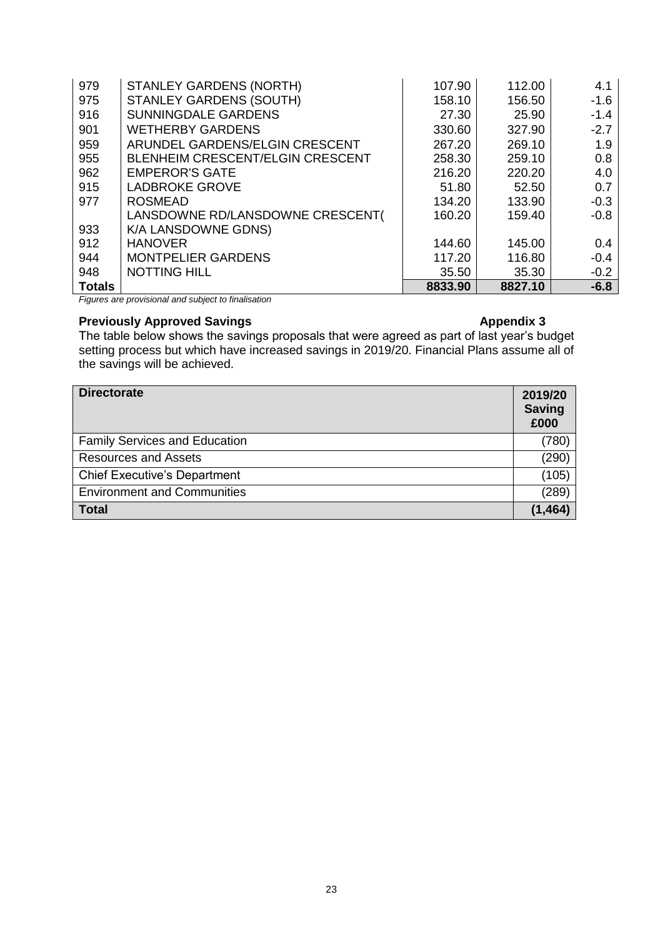| 979           | <b>STANLEY GARDENS (NORTH)</b>          | 107.90  | 112.00  | 4.1    |
|---------------|-----------------------------------------|---------|---------|--------|
| 975           | <b>STANLEY GARDENS (SOUTH)</b>          | 158.10  | 156.50  | $-1.6$ |
| 916           | <b>SUNNINGDALE GARDENS</b>              | 27.30   | 25.90   | $-1.4$ |
| 901           | <b>WETHERBY GARDENS</b>                 | 330.60  | 327.90  | $-2.7$ |
| 959           | ARUNDEL GARDENS/ELGIN CRESCENT          | 267.20  | 269.10  | 1.9    |
| 955           | <b>BLENHEIM CRESCENT/ELGIN CRESCENT</b> | 258.30  | 259.10  | 0.8    |
| 962           | <b>EMPEROR'S GATE</b>                   | 216.20  | 220.20  | 4.0    |
| 915           | <b>LADBROKE GROVE</b>                   | 51.80   | 52.50   | 0.7    |
| 977           | <b>ROSMEAD</b>                          | 134.20  | 133.90  | $-0.3$ |
|               | LANSDOWNE RD/LANSDOWNE CRESCENT(        | 160.20  | 159.40  | $-0.8$ |
| 933           | K/A LANSDOWNE GDNS)                     |         |         |        |
| 912           | <b>HANOVER</b>                          | 144.60  | 145.00  | 0.4    |
| 944           | <b>MONTPELIER GARDENS</b>               | 117.20  | 116.80  | $-0.4$ |
| 948           | <b>NOTTING HILL</b>                     | 35.50   | 35.30   | $-0.2$ |
| <b>Totals</b> |                                         | 8833.90 | 8827.10 | $-6.8$ |

*Figures are provisional and subject to finalisation* 

# **Previously Approved Savings Appendix 3 Appendix 3**

The table below shows the savings proposals that were agreed as part of last year's budget setting process but which have increased savings in 2019/20. Financial Plans assume all of the savings will be achieved.

| <b>Directorate</b>                   | 2019/20<br><b>Saving</b><br>£000 |
|--------------------------------------|----------------------------------|
| <b>Family Services and Education</b> | (780)                            |
| <b>Resources and Assets</b>          | (290)                            |
| <b>Chief Executive's Department</b>  | (105)                            |
| <b>Environment and Communities</b>   | (289)                            |
| <b>Total</b>                         | (1, 464)                         |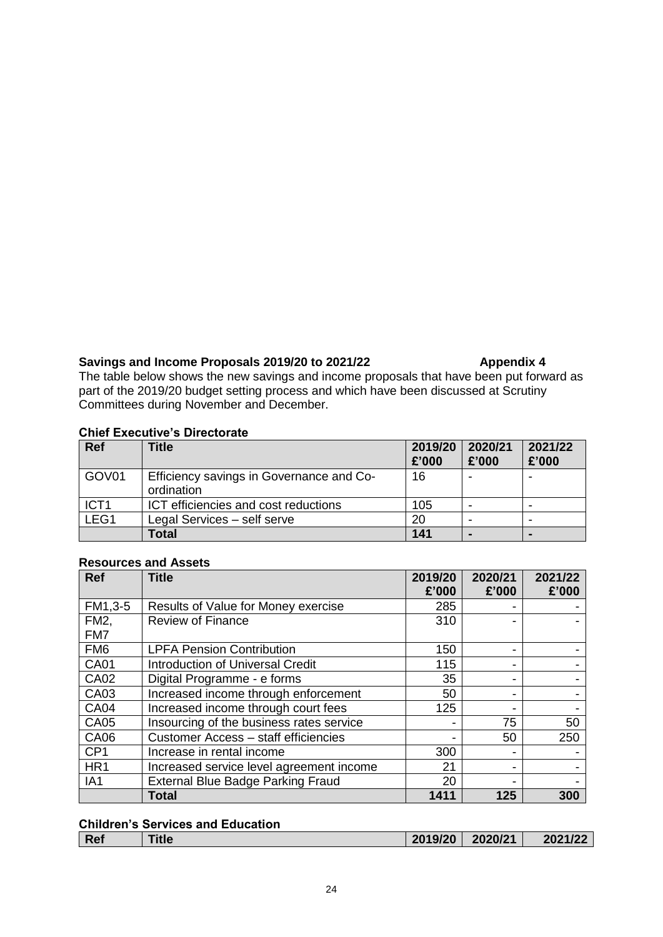# Savings and Income Proposals 2019/20 to 2021/22 **Appendix 4**

The table below shows the new savings and income proposals that have been put forward as part of the 2019/20 budget setting process and which have been discussed at Scrutiny Committees during November and December.

### **Chief Executive's Directorate**

| <b>Ref</b>       | Title                                                  | 2019/20<br>£'000 | 2020/21<br>£'000 | 2021/22<br>£'000 |
|------------------|--------------------------------------------------------|------------------|------------------|------------------|
| GOV01            | Efficiency savings in Governance and Co-<br>ordination | 16               |                  |                  |
| ICT <sub>1</sub> | ICT efficiencies and cost reductions                   | 105              |                  |                  |
| LEG1             | Legal Services - self serve                            | 20               |                  | -                |
|                  | <b>Total</b>                                           | 141              |                  |                  |

| Ref               | Title                                    | 2019/20<br>£'000 | 2020/21<br>£'000 | 2021/22<br>£'000 |
|-------------------|------------------------------------------|------------------|------------------|------------------|
| FM1,3-5           | Results of Value for Money exercise      | 285              |                  |                  |
| FM <sub>2</sub> , | <b>Review of Finance</b>                 | 310              |                  |                  |
| FM7               |                                          |                  |                  |                  |
| FM <sub>6</sub>   | <b>LPFA Pension Contribution</b>         | 150              | -                |                  |
| <b>CA01</b>       | <b>Introduction of Universal Credit</b>  | 115              | -                |                  |
| <b>CA02</b>       | Digital Programme - e forms              | 35               | -                |                  |
| CA03              | Increased income through enforcement     | 50               | -                |                  |
| <b>CA04</b>       | Increased income through court fees      | 125              |                  |                  |
| <b>CA05</b>       | Insourcing of the business rates service |                  | 75               | 50               |
| <b>CA06</b>       | Customer Access - staff efficiencies     |                  | 50               | 250              |
| CP <sub>1</sub>   | Increase in rental income                | 300              |                  |                  |
| HR <sub>1</sub>   | Increased service level agreement income | 21               | ٠                |                  |
| IA <sub>1</sub>   | <b>External Blue Badge Parking Fraud</b> | 20               |                  |                  |
|                   | <b>Total</b>                             | 1411             | 125              | 300              |

#### **Resources and Assets**

|            | <b>Children's Services and Education</b> |         |         |         |
|------------|------------------------------------------|---------|---------|---------|
| <b>Ref</b> | <b>Title</b>                             | 2019/20 | 2020/21 | 2021/22 |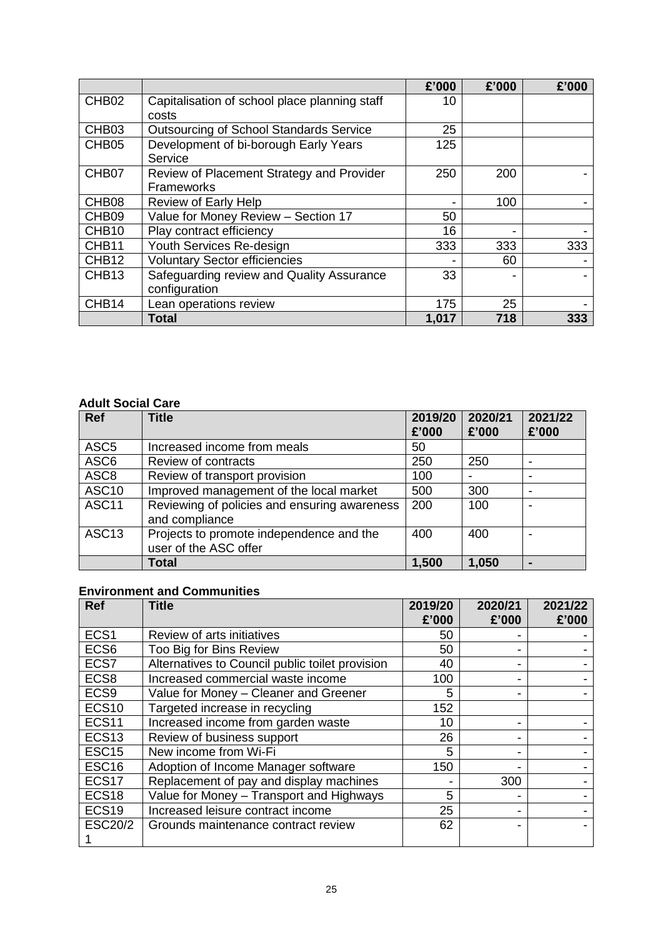|                   |                                                | £'000 | £'000 | £'000 |
|-------------------|------------------------------------------------|-------|-------|-------|
| CHB <sub>02</sub> | Capitalisation of school place planning staff  | 10    |       |       |
|                   | costs                                          |       |       |       |
| CHB <sub>03</sub> | <b>Outsourcing of School Standards Service</b> | 25    |       |       |
| CHB <sub>05</sub> | Development of bi-borough Early Years          | 125   |       |       |
|                   | Service                                        |       |       |       |
| CHB07             | Review of Placement Strategy and Provider      | 250   | 200   |       |
|                   | Frameworks                                     |       |       |       |
| CHB <sub>08</sub> | Review of Early Help                           | -     | 100   |       |
| CHB <sub>09</sub> | Value for Money Review - Section 17            | 50    |       |       |
| CHB <sub>10</sub> | Play contract efficiency                       | 16    |       |       |
| CHB11             | Youth Services Re-design                       | 333   | 333   | 333   |
| CHB <sub>12</sub> | <b>Voluntary Sector efficiencies</b>           |       | 60    |       |
| CHB <sub>13</sub> | Safeguarding review and Quality Assurance      | 33    |       |       |
|                   | configuration                                  |       |       |       |
| CHB <sub>14</sub> | Lean operations review                         | 175   | 25    |       |
|                   | <b>Total</b>                                   | 1,017 | 718   | 333   |

### **Adult Social Care**

| <b>Ref</b>        | <b>Title</b>                                                      | 2019/20<br>£'000 | 2020/21<br>£'000 | 2021/22<br>£'000 |
|-------------------|-------------------------------------------------------------------|------------------|------------------|------------------|
| ASC <sub>5</sub>  | Increased income from meals                                       | 50               |                  |                  |
| ASC6              | Review of contracts                                               | 250              | 250              | -                |
| ASC <sub>8</sub>  | Review of transport provision                                     | 100              |                  |                  |
| ASC <sub>10</sub> | Improved management of the local market                           | 500              | 300              | -                |
| ASC <sub>11</sub> | Reviewing of policies and ensuring awareness<br>and compliance    | 200              | 100              |                  |
| ASC <sub>13</sub> | Projects to promote independence and the<br>user of the ASC offer | 400              | 400              |                  |
|                   | <b>Total</b>                                                      | 1,500            | 1,050            | $\blacksquare$   |

# **Environment and Communities**

| <b>Ref</b>        | <b>Title</b>                                    | 2019/20<br>£'000 | 2020/21<br>£'000 | 2021/22<br>£'000 |
|-------------------|-------------------------------------------------|------------------|------------------|------------------|
| ECS <sub>1</sub>  | Review of arts initiatives                      | 50               |                  |                  |
| ECS <sub>6</sub>  | Too Big for Bins Review                         | 50               |                  |                  |
| ECS7              | Alternatives to Council public toilet provision | 40               |                  |                  |
| ECS8              | Increased commercial waste income               | 100              |                  |                  |
| ECS9              | Value for Money - Cleaner and Greener           | 5                |                  |                  |
| <b>ECS10</b>      | Targeted increase in recycling                  | 152              |                  |                  |
| ECS <sub>11</sub> | Increased income from garden waste              | 10               |                  |                  |
| ECS <sub>13</sub> | Review of business support                      | 26               |                  |                  |
| ESC <sub>15</sub> | New income from Wi-Fi                           | 5                |                  |                  |
| ESC <sub>16</sub> | Adoption of Income Manager software             | 150              |                  |                  |
| ECS <sub>17</sub> | Replacement of pay and display machines         |                  | 300              |                  |
| ECS <sub>18</sub> | Value for Money - Transport and Highways        | 5                |                  |                  |
| ECS <sub>19</sub> | Increased leisure contract income               | 25               |                  |                  |
| <b>ESC20/2</b>    | Grounds maintenance contract review             | 62               |                  |                  |